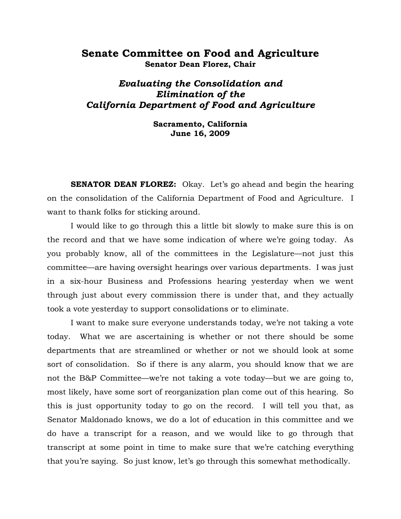## **Senate Committee on Food and Agriculture Senator Dean Florez, Chair**

# *Evaluating the Consolidation and Elimination of the California Department of Food and Agriculture*

**Sacramento, California June 16, 2009** 

**SENATOR DEAN FLOREZ:** Okay. Let's go ahead and begin the hearing on the consolidation of the California Department of Food and Agriculture. I want to thank folks for sticking around.

I would like to go through this a little bit slowly to make sure this is on the record and that we have some indication of where we're going today. As you probably know, all of the committees in the Legislature—not just this committee—are having oversight hearings over various departments. I was just in a six-hour Business and Professions hearing yesterday when we went through just about every commission there is under that, and they actually took a vote yesterday to support consolidations or to eliminate.

I want to make sure everyone understands today, we're not taking a vote today. What we are ascertaining is whether or not there should be some departments that are streamlined or whether or not we should look at some sort of consolidation. So if there is any alarm, you should know that we are not the B&P Committee—we're not taking a vote today—but we are going to, most likely, have some sort of reorganization plan come out of this hearing. So this is just opportunity today to go on the record. I will tell you that, as Senator Maldonado knows, we do a lot of education in this committee and we do have a transcript for a reason, and we would like to go through that transcript at some point in time to make sure that we're catching everything that you're saying. So just know, let's go through this somewhat methodically.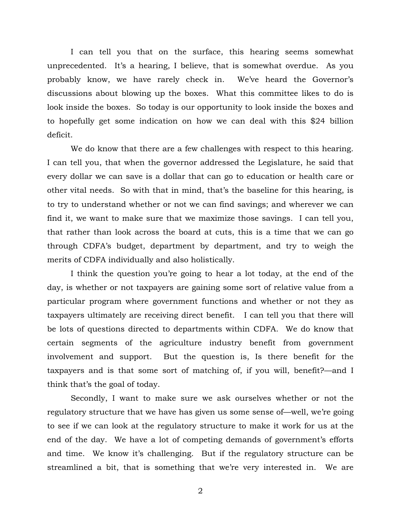I can tell you that on the surface, this hearing seems somewhat unprecedented. It's a hearing, I believe, that is somewhat overdue. As you probably know, we have rarely check in. We've heard the Governor's discussions about blowing up the boxes. What this committee likes to do is look inside the boxes. So today is our opportunity to look inside the boxes and to hopefully get some indication on how we can deal with this \$24 billion deficit.

We do know that there are a few challenges with respect to this hearing. I can tell you, that when the governor addressed the Legislature, he said that every dollar we can save is a dollar that can go to education or health care or other vital needs. So with that in mind, that's the baseline for this hearing, is to try to understand whether or not we can find savings; and wherever we can find it, we want to make sure that we maximize those savings. I can tell you, that rather than look across the board at cuts, this is a time that we can go through CDFA's budget, department by department, and try to weigh the merits of CDFA individually and also holistically.

I think the question you're going to hear a lot today, at the end of the day, is whether or not taxpayers are gaining some sort of relative value from a particular program where government functions and whether or not they as taxpayers ultimately are receiving direct benefit. I can tell you that there will be lots of questions directed to departments within CDFA. We do know that certain segments of the agriculture industry benefit from government involvement and support. But the question is, Is there benefit for the taxpayers and is that some sort of matching of, if you will, benefit?—and I think that's the goal of today.

Secondly, I want to make sure we ask ourselves whether or not the regulatory structure that we have has given us some sense of—well, we're going to see if we can look at the regulatory structure to make it work for us at the end of the day. We have a lot of competing demands of government's efforts and time. We know it's challenging. But if the regulatory structure can be streamlined a bit, that is something that we're very interested in. We are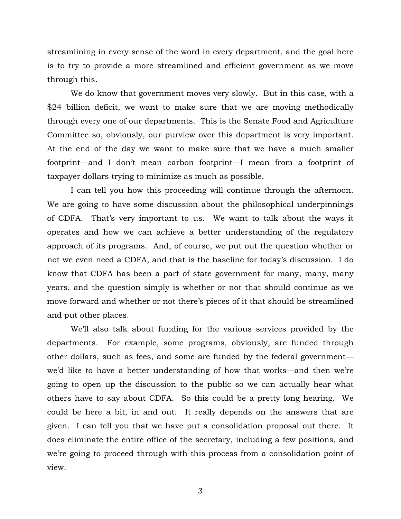streamlining in every sense of the word in every department, and the goal here is to try to provide a more streamlined and efficient government as we move through this.

We do know that government moves very slowly. But in this case, with a \$24 billion deficit, we want to make sure that we are moving methodically through every one of our departments. This is the Senate Food and Agriculture Committee so, obviously, our purview over this department is very important. At the end of the day we want to make sure that we have a much smaller footprint—and I don't mean carbon footprint—I mean from a footprint of taxpayer dollars trying to minimize as much as possible.

I can tell you how this proceeding will continue through the afternoon. We are going to have some discussion about the philosophical underpinnings of CDFA. That's very important to us. We want to talk about the ways it operates and how we can achieve a better understanding of the regulatory approach of its programs. And, of course, we put out the question whether or not we even need a CDFA, and that is the baseline for today's discussion. I do know that CDFA has been a part of state government for many, many, many years, and the question simply is whether or not that should continue as we move forward and whether or not there's pieces of it that should be streamlined and put other places.

We'll also talk about funding for the various services provided by the departments. For example, some programs, obviously, are funded through other dollars, such as fees, and some are funded by the federal government we'd like to have a better understanding of how that works—and then we're going to open up the discussion to the public so we can actually hear what others have to say about CDFA. So this could be a pretty long hearing. We could be here a bit, in and out. It really depends on the answers that are given. I can tell you that we have put a consolidation proposal out there. It does eliminate the entire office of the secretary, including a few positions, and we're going to proceed through with this process from a consolidation point of view.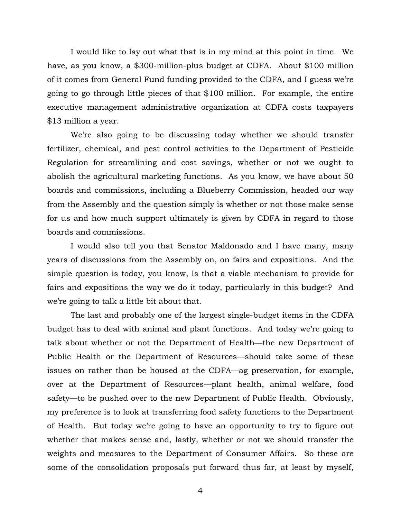I would like to lay out what that is in my mind at this point in time. We have, as you know, a \$300-million-plus budget at CDFA. About \$100 million of it comes from General Fund funding provided to the CDFA, and I guess we're going to go through little pieces of that \$100 million. For example, the entire executive management administrative organization at CDFA costs taxpayers \$13 million a year.

We're also going to be discussing today whether we should transfer fertilizer, chemical, and pest control activities to the Department of Pesticide Regulation for streamlining and cost savings, whether or not we ought to abolish the agricultural marketing functions. As you know, we have about 50 boards and commissions, including a Blueberry Commission, headed our way from the Assembly and the question simply is whether or not those make sense for us and how much support ultimately is given by CDFA in regard to those boards and commissions.

I would also tell you that Senator Maldonado and I have many, many years of discussions from the Assembly on, on fairs and expositions. And the simple question is today, you know, Is that a viable mechanism to provide for fairs and expositions the way we do it today, particularly in this budget? And we're going to talk a little bit about that.

The last and probably one of the largest single-budget items in the CDFA budget has to deal with animal and plant functions. And today we're going to talk about whether or not the Department of Health—the new Department of Public Health or the Department of Resources—should take some of these issues on rather than be housed at the CDFA—ag preservation, for example, over at the Department of Resources—plant health, animal welfare, food safety—to be pushed over to the new Department of Public Health. Obviously, my preference is to look at transferring food safety functions to the Department of Health. But today we're going to have an opportunity to try to figure out whether that makes sense and, lastly, whether or not we should transfer the weights and measures to the Department of Consumer Affairs. So these are some of the consolidation proposals put forward thus far, at least by myself,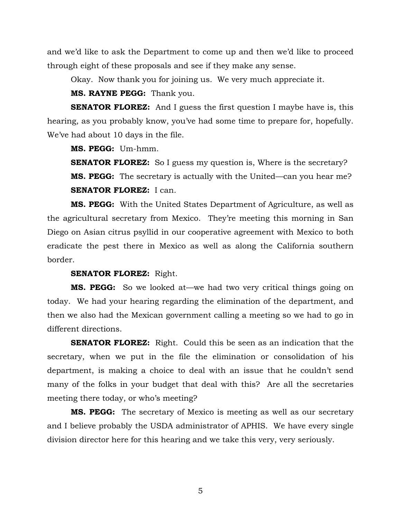and we'd like to ask the Department to come up and then we'd like to proceed through eight of these proposals and see if they make any sense.

Okay. Now thank you for joining us. We very much appreciate it.

**MS. RAYNE PEGG:** Thank you.

**SENATOR FLOREZ:** And I guess the first question I maybe have is, this hearing, as you probably know, you've had some time to prepare for, hopefully. We've had about 10 days in the file.

**MS. PEGG:** Um-hmm.

**SENATOR FLOREZ:** So I guess my question is, Where is the secretary? **MS. PEGG:** The secretary is actually with the United—can you hear me? **SENATOR FLOREZ:** I can.

**MS. PEGG:** With the United States Department of Agriculture, as well as the agricultural secretary from Mexico. They're meeting this morning in San Diego on Asian citrus psyllid in our cooperative agreement with Mexico to both eradicate the pest there in Mexico as well as along the California southern border.

#### **SENATOR FLOREZ:** Right.

**MS. PEGG:** So we looked at—we had two very critical things going on today. We had your hearing regarding the elimination of the department, and then we also had the Mexican government calling a meeting so we had to go in different directions.

**SENATOR FLOREZ:** Right. Could this be seen as an indication that the secretary, when we put in the file the elimination or consolidation of his department, is making a choice to deal with an issue that he couldn't send many of the folks in your budget that deal with this? Are all the secretaries meeting there today, or who's meeting?

**MS. PEGG:** The secretary of Mexico is meeting as well as our secretary and I believe probably the USDA administrator of APHIS. We have every single division director here for this hearing and we take this very, very seriously.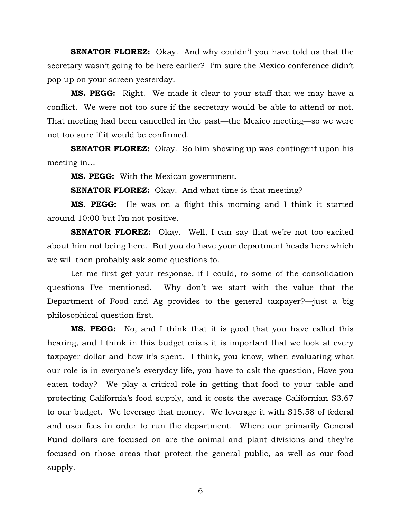**SENATOR FLOREZ:** Okay. And why couldn't you have told us that the secretary wasn't going to be here earlier? I'm sure the Mexico conference didn't pop up on your screen yesterday.

**MS. PEGG:** Right. We made it clear to your staff that we may have a conflict. We were not too sure if the secretary would be able to attend or not. That meeting had been cancelled in the past—the Mexico meeting—so we were not too sure if it would be confirmed.

**SENATOR FLOREZ:** Okay. So him showing up was contingent upon his meeting in…

**MS. PEGG:** With the Mexican government.

**SENATOR FLOREZ:** Okay. And what time is that meeting?

**MS. PEGG:** He was on a flight this morning and I think it started around 10:00 but I'm not positive.

**SENATOR FLOREZ:** Okay. Well, I can say that we're not too excited about him not being here. But you do have your department heads here which we will then probably ask some questions to.

Let me first get your response, if I could, to some of the consolidation questions I've mentioned. Why don't we start with the value that the Department of Food and Ag provides to the general taxpayer?—just a big philosophical question first.

**MS. PEGG:** No, and I think that it is good that you have called this hearing, and I think in this budget crisis it is important that we look at every taxpayer dollar and how it's spent. I think, you know, when evaluating what our role is in everyone's everyday life, you have to ask the question, Have you eaten today? We play a critical role in getting that food to your table and protecting California's food supply, and it costs the average Californian \$3.67 to our budget. We leverage that money. We leverage it with \$15.58 of federal and user fees in order to run the department. Where our primarily General Fund dollars are focused on are the animal and plant divisions and they're focused on those areas that protect the general public, as well as our food supply.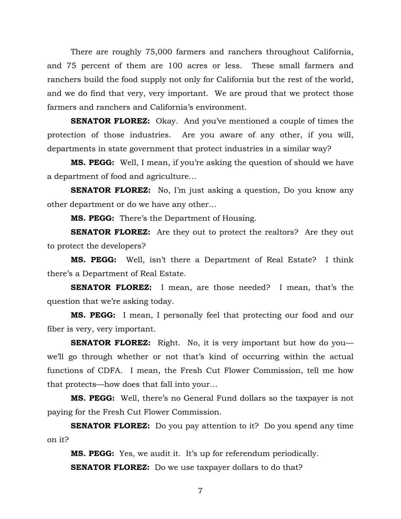There are roughly 75,000 farmers and ranchers throughout California, and 75 percent of them are 100 acres or less. These small farmers and ranchers build the food supply not only for California but the rest of the world, and we do find that very, very important. We are proud that we protect those farmers and ranchers and California's environment.

**SENATOR FLOREZ:** Okay. And you've mentioned a couple of times the protection of those industries. Are you aware of any other, if you will, departments in state government that protect industries in a similar way?

**MS. PEGG:** Well, I mean, if you're asking the question of should we have a department of food and agriculture…

**SENATOR FLOREZ:** No, I'm just asking a question, Do you know any other department or do we have any other…

**MS. PEGG:** There's the Department of Housing.

**SENATOR FLOREZ:** Are they out to protect the realtors? Are they out to protect the developers?

**MS. PEGG:** Well, isn't there a Department of Real Estate? I think there's a Department of Real Estate.

**SENATOR FLOREZ:** I mean, are those needed? I mean, that's the question that we're asking today.

**MS. PEGG:** I mean, I personally feel that protecting our food and our fiber is very, very important.

**SENATOR FLOREZ:** Right. No, it is very important but how do you we'll go through whether or not that's kind of occurring within the actual functions of CDFA. I mean, the Fresh Cut Flower Commission, tell me how that protects—how does that fall into your…

**MS. PEGG:** Well, there's no General Fund dollars so the taxpayer is not paying for the Fresh Cut Flower Commission.

**SENATOR FLOREZ:** Do you pay attention to it? Do you spend any time on it?

**MS. PEGG:** Yes, we audit it. It's up for referendum periodically. **SENATOR FLOREZ:** Do we use taxpayer dollars to do that?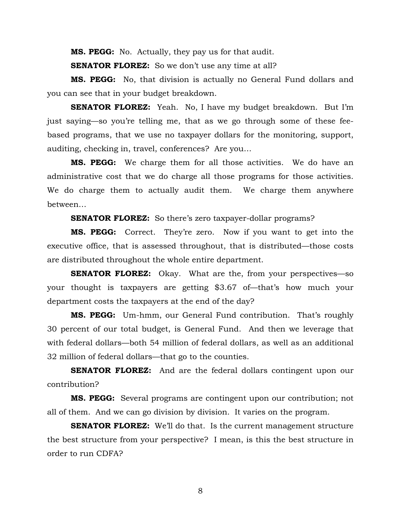**MS. PEGG:** No. Actually, they pay us for that audit.

**SENATOR FLOREZ:** So we don't use any time at all?

**MS. PEGG:** No, that division is actually no General Fund dollars and you can see that in your budget breakdown.

**SENATOR FLOREZ:** Yeah. No, I have my budget breakdown. But I'm just saying—so you're telling me, that as we go through some of these feebased programs, that we use no taxpayer dollars for the monitoring, support, auditing, checking in, travel, conferences? Are you…

**MS. PEGG:** We charge them for all those activities. We do have an administrative cost that we do charge all those programs for those activities. We do charge them to actually audit them. We charge them anywhere between…

**SENATOR FLOREZ:** So there's zero taxpayer-dollar programs?

**MS. PEGG:** Correct. They're zero. Now if you want to get into the executive office, that is assessed throughout, that is distributed—those costs are distributed throughout the whole entire department.

**SENATOR FLOREZ:** Okay. What are the, from your perspectives—so your thought is taxpayers are getting \$3.67 of—that's how much your department costs the taxpayers at the end of the day?

**MS. PEGG:** Um-hmm, our General Fund contribution. That's roughly 30 percent of our total budget, is General Fund. And then we leverage that with federal dollars—both 54 million of federal dollars, as well as an additional 32 million of federal dollars—that go to the counties.

**SENATOR FLOREZ:** And are the federal dollars contingent upon our contribution?

**MS. PEGG:** Several programs are contingent upon our contribution; not all of them. And we can go division by division. It varies on the program.

**SENATOR FLOREZ:** We'll do that. Is the current management structure the best structure from your perspective? I mean, is this the best structure in order to run CDFA?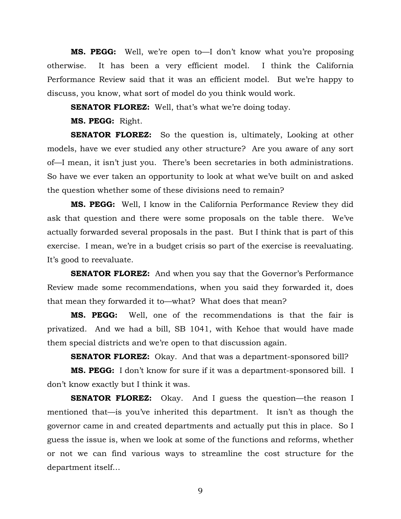**MS. PEGG:** Well, we're open to—I don't know what you're proposing otherwise. It has been a very efficient model. I think the California Performance Review said that it was an efficient model. But we're happy to discuss, you know, what sort of model do you think would work.

**SENATOR FLOREZ:** Well, that's what we're doing today.

**MS. PEGG:** Right.

**SENATOR FLOREZ:** So the question is, ultimately, Looking at other models, have we ever studied any other structure? Are you aware of any sort of—I mean, it isn't just you. There's been secretaries in both administrations. So have we ever taken an opportunity to look at what we've built on and asked the question whether some of these divisions need to remain?

**MS. PEGG:** Well, I know in the California Performance Review they did ask that question and there were some proposals on the table there. We've actually forwarded several proposals in the past. But I think that is part of this exercise. I mean, we're in a budget crisis so part of the exercise is reevaluating. It's good to reevaluate.

**SENATOR FLOREZ:** And when you say that the Governor's Performance Review made some recommendations, when you said they forwarded it, does that mean they forwarded it to—what? What does that mean?

**MS. PEGG:** Well, one of the recommendations is that the fair is privatized. And we had a bill, SB 1041, with Kehoe that would have made them special districts and we're open to that discussion again.

**SENATOR FLOREZ:** Okay. And that was a department-sponsored bill?

**MS. PEGG:** I don't know for sure if it was a department-sponsored bill. I don't know exactly but I think it was.

**SENATOR FLOREZ:** Okay. And I guess the question—the reason I mentioned that—is you've inherited this department. It isn't as though the governor came in and created departments and actually put this in place. So I guess the issue is, when we look at some of the functions and reforms, whether or not we can find various ways to streamline the cost structure for the department itself…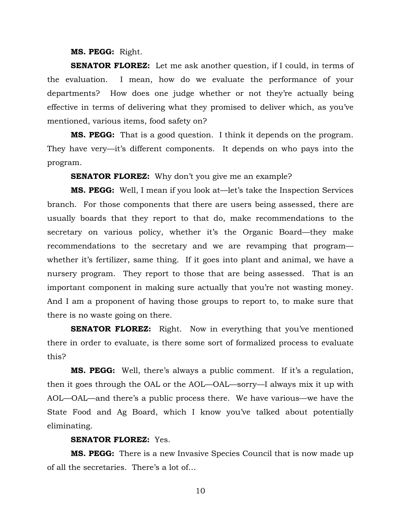#### **MS. PEGG:** Right.

**SENATOR FLOREZ:** Let me ask another question, if I could, in terms of the evaluation. I mean, how do we evaluate the performance of your departments? How does one judge whether or not they're actually being effective in terms of delivering what they promised to deliver which, as you've mentioned, various items, food safety on?

**MS. PEGG:** That is a good question. I think it depends on the program. They have very—it's different components. It depends on who pays into the program.

**SENATOR FLOREZ:** Why don't you give me an example?

**MS. PEGG:** Well, I mean if you look at—let's take the Inspection Services branch. For those components that there are users being assessed, there are usually boards that they report to that do, make recommendations to the secretary on various policy, whether it's the Organic Board—they make recommendations to the secretary and we are revamping that program whether it's fertilizer, same thing. If it goes into plant and animal, we have a nursery program. They report to those that are being assessed. That is an important component in making sure actually that you're not wasting money. And I am a proponent of having those groups to report to, to make sure that there is no waste going on there.

**SENATOR FLOREZ:** Right. Now in everything that you've mentioned there in order to evaluate, is there some sort of formalized process to evaluate this?

**MS. PEGG:** Well, there's always a public comment. If it's a regulation, then it goes through the OAL or the AOL—OAL—sorry—I always mix it up with AOL—OAL—and there's a public process there. We have various—we have the State Food and Ag Board, which I know you've talked about potentially eliminating.

#### **SENATOR FLOREZ:** Yes.

**MS. PEGG:** There is a new Invasive Species Council that is now made up of all the secretaries. There's a lot of…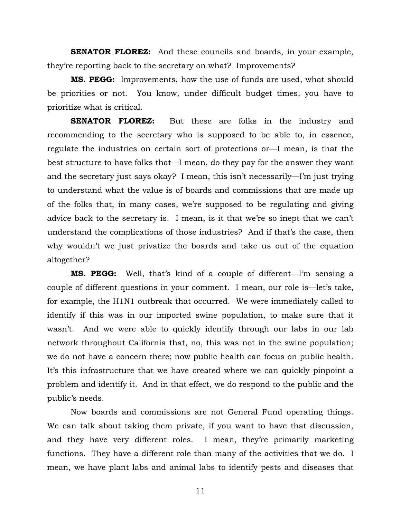**SENATOR FLOREZ:** And these councils and boards, in your example, they're reporting back to the secretary on what? Improvements?

**MS. PEGG:** Improvements, how the use of funds are used, what should be priorities or not. You know, under difficult budget times, you have to prioritize what is critical.

**SENATOR FLOREZ:** But these are folks in the industry and recommending to the secretary who is supposed to be able to, in essence, regulate the industries on certain sort of protections or—I mean, is that the best structure to have folks that—I mean, do they pay for the answer they want and the secretary just says okay? I mean, this isn't necessarily—I'm just trying to understand what the value is of boards and commissions that are made up of the folks that, in many cases, we're supposed to be regulating and giving advice back to the secretary is. I mean, is it that we're so inept that we can't understand the complications of those industries? And if that's the case, then why wouldn't we just privatize the boards and take us out of the equation altogether?

**MS. PEGG:** Well, that's kind of a couple of different—I'm sensing a couple of different questions in your comment. I mean, our role is—let's take, for example, the H1N1 outbreak that occurred. We were immediately called to identify if this was in our imported swine population, to make sure that it wasn't. And we were able to quickly identify through our labs in our lab network throughout California that, no, this was not in the swine population; we do not have a concern there; now public health can focus on public health. It's this infrastructure that we have created where we can quickly pinpoint a problem and identify it. And in that effect, we do respond to the public and the public's needs.

Now boards and commissions are not General Fund operating things. We can talk about taking them private, if you want to have that discussion, and they have very different roles. I mean, they're primarily marketing functions. They have a different role than many of the activities that we do. I mean, we have plant labs and animal labs to identify pests and diseases that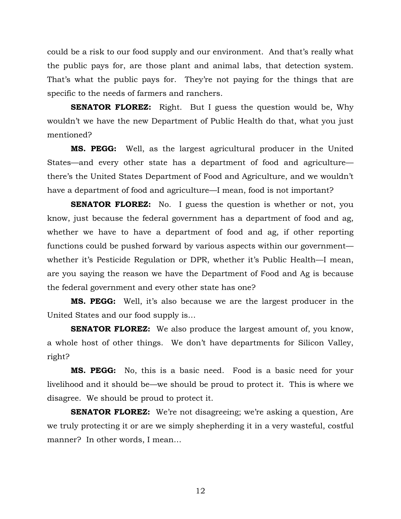could be a risk to our food supply and our environment. And that's really what the public pays for, are those plant and animal labs, that detection system. That's what the public pays for. They're not paying for the things that are specific to the needs of farmers and ranchers.

**SENATOR FLOREZ:** Right. But I guess the question would be, Why wouldn't we have the new Department of Public Health do that, what you just mentioned?

**MS. PEGG:** Well, as the largest agricultural producer in the United States—and every other state has a department of food and agriculture there's the United States Department of Food and Agriculture, and we wouldn't have a department of food and agriculture—I mean, food is not important?

**SENATOR FLOREZ:** No. I guess the question is whether or not, you know, just because the federal government has a department of food and ag, whether we have to have a department of food and ag, if other reporting functions could be pushed forward by various aspects within our government whether it's Pesticide Regulation or DPR, whether it's Public Health—I mean, are you saying the reason we have the Department of Food and Ag is because the federal government and every other state has one?

**MS. PEGG:** Well, it's also because we are the largest producer in the United States and our food supply is…

**SENATOR FLOREZ:** We also produce the largest amount of, you know, a whole host of other things. We don't have departments for Silicon Valley, right?

**MS. PEGG:** No, this is a basic need. Food is a basic need for your livelihood and it should be—we should be proud to protect it. This is where we disagree. We should be proud to protect it.

**SENATOR FLOREZ:** We're not disagreeing; we're asking a question, Are we truly protecting it or are we simply shepherding it in a very wasteful, costful manner? In other words, I mean…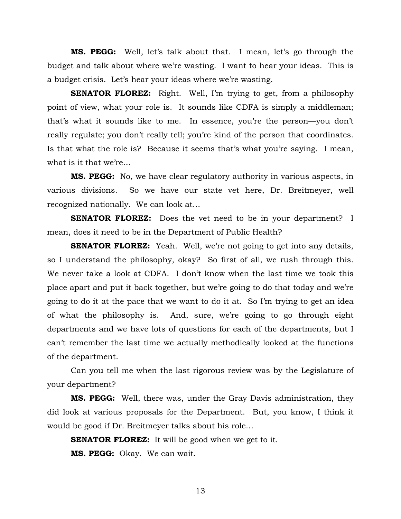**MS. PEGG:** Well, let's talk about that. I mean, let's go through the budget and talk about where we're wasting. I want to hear your ideas. This is a budget crisis. Let's hear your ideas where we're wasting.

**SENATOR FLOREZ:** Right. Well, I'm trying to get, from a philosophy point of view, what your role is. It sounds like CDFA is simply a middleman; that's what it sounds like to me. In essence, you're the person—you don't really regulate; you don't really tell; you're kind of the person that coordinates. Is that what the role is? Because it seems that's what you're saying. I mean, what is it that we're…

**MS. PEGG:** No, we have clear regulatory authority in various aspects, in various divisions. So we have our state vet here, Dr. Breitmeyer, well recognized nationally. We can look at…

**SENATOR FLOREZ:** Does the vet need to be in your department? I mean, does it need to be in the Department of Public Health?

**SENATOR FLOREZ:** Yeah. Well, we're not going to get into any details, so I understand the philosophy, okay? So first of all, we rush through this. We never take a look at CDFA. I don't know when the last time we took this place apart and put it back together, but we're going to do that today and we're going to do it at the pace that we want to do it at. So I'm trying to get an idea of what the philosophy is. And, sure, we're going to go through eight departments and we have lots of questions for each of the departments, but I can't remember the last time we actually methodically looked at the functions of the department.

Can you tell me when the last rigorous review was by the Legislature of your department?

**MS. PEGG:** Well, there was, under the Gray Davis administration, they did look at various proposals for the Department. But, you know, I think it would be good if Dr. Breitmeyer talks about his role…

**SENATOR FLOREZ:** It will be good when we get to it. **MS. PEGG:** Okay. We can wait.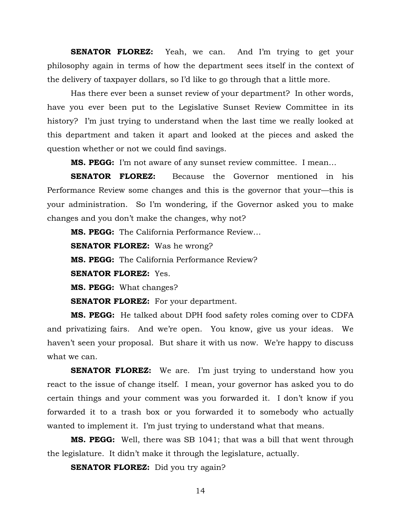**SENATOR FLOREZ:** Yeah, we can. And I'm trying to get your philosophy again in terms of how the department sees itself in the context of the delivery of taxpayer dollars, so I'd like to go through that a little more.

Has there ever been a sunset review of your department? In other words, have you ever been put to the Legislative Sunset Review Committee in its history? I'm just trying to understand when the last time we really looked at this department and taken it apart and looked at the pieces and asked the question whether or not we could find savings.

**MS. PEGG:** I'm not aware of any sunset review committee. I mean…

**SENATOR FLOREZ:** Because the Governor mentioned in his Performance Review some changes and this is the governor that your—this is your administration. So I'm wondering, if the Governor asked you to make changes and you don't make the changes, why not?

**MS. PEGG:** The California Performance Review…

**SENATOR FLOREZ:** Was he wrong? **MS. PEGG:** The California Performance Review? **SENATOR FLOREZ:** Yes. **MS. PEGG:** What changes?

**SENATOR FLOREZ:** For your department.

**MS. PEGG:** He talked about DPH food safety roles coming over to CDFA and privatizing fairs. And we're open. You know, give us your ideas. We haven't seen your proposal. But share it with us now. We're happy to discuss what we can.

**SENATOR FLOREZ:** We are. I'm just trying to understand how you react to the issue of change itself. I mean, your governor has asked you to do certain things and your comment was you forwarded it. I don't know if you forwarded it to a trash box or you forwarded it to somebody who actually wanted to implement it. I'm just trying to understand what that means.

**MS. PEGG:** Well, there was SB 1041; that was a bill that went through the legislature. It didn't make it through the legislature, actually.

**SENATOR FLOREZ:** Did you try again?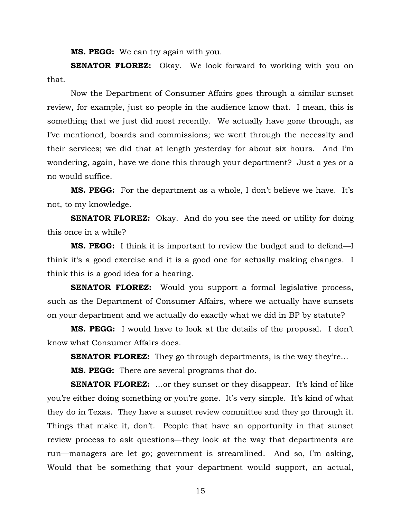**MS. PEGG:** We can try again with you.

**SENATOR FLOREZ:** Okay. We look forward to working with you on that.

Now the Department of Consumer Affairs goes through a similar sunset review, for example, just so people in the audience know that. I mean, this is something that we just did most recently. We actually have gone through, as I've mentioned, boards and commissions; we went through the necessity and their services; we did that at length yesterday for about six hours. And I'm wondering, again, have we done this through your department? Just a yes or a no would suffice.

**MS. PEGG:** For the department as a whole, I don't believe we have. It's not, to my knowledge.

**SENATOR FLOREZ:** Okay. And do you see the need or utility for doing this once in a while?

**MS. PEGG:** I think it is important to review the budget and to defend—I think it's a good exercise and it is a good one for actually making changes. I think this is a good idea for a hearing.

**SENATOR FLOREZ:** Would you support a formal legislative process, such as the Department of Consumer Affairs, where we actually have sunsets on your department and we actually do exactly what we did in BP by statute?

**MS. PEGG:** I would have to look at the details of the proposal. I don't know what Consumer Affairs does.

**SENATOR FLOREZ:** They go through departments, is the way they're...

**MS. PEGG:** There are several programs that do.

**SENATOR FLOREZ:** ... or they sunset or they disappear. It's kind of like you're either doing something or you're gone. It's very simple. It's kind of what they do in Texas. They have a sunset review committee and they go through it. Things that make it, don't. People that have an opportunity in that sunset review process to ask questions—they look at the way that departments are run—managers are let go; government is streamlined. And so, I'm asking, Would that be something that your department would support, an actual,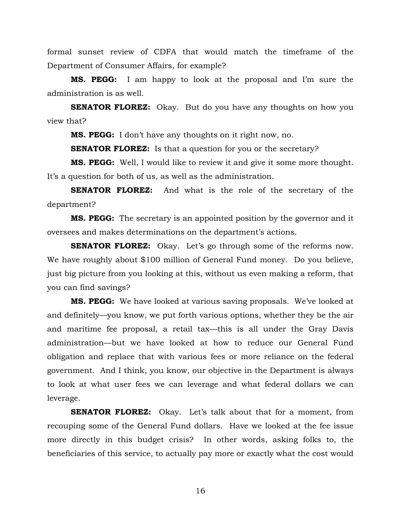formal sunset review of CDFA that would match the timeframe of the Department of Consumer Affairs, for example?

**MS. PEGG:** I am happy to look at the proposal and I'm sure the administration is as well.

**SENATOR FLOREZ:** Okay. But do you have any thoughts on how you view that?

**MS. PEGG:** I don't have any thoughts on it right now, no.

**SENATOR FLOREZ:** Is that a question for you or the secretary?

**MS. PEGG:** Well, I would like to review it and give it some more thought. It's a question for both of us, as well as the administration.

**SENATOR FLOREZ:** And what is the role of the secretary of the department?

**MS. PEGG:** The secretary is an appointed position by the governor and it oversees and makes determinations on the department's actions.

**SENATOR FLOREZ:** Okay. Let's go through some of the reforms now. We have roughly about \$100 million of General Fund money. Do you believe, just big picture from you looking at this, without us even making a reform, that you can find savings?

**MS. PEGG:** We have looked at various saving proposals. We've looked at and definitely—you know, we put forth various options, whether they be the air and maritime fee proposal, a retail tax—this is all under the Gray Davis administration—but we have looked at how to reduce our General Fund obligation and replace that with various fees or more reliance on the federal government. And I think, you know, our objective in the Department is always to look at what user fees we can leverage and what federal dollars we can leverage.

**SENATOR FLOREZ:** Okay. Let's talk about that for a moment, from recouping some of the General Fund dollars. Have we looked at the fee issue more directly in this budget crisis? In other words, asking folks to, the beneficiaries of this service, to actually pay more or exactly what the cost would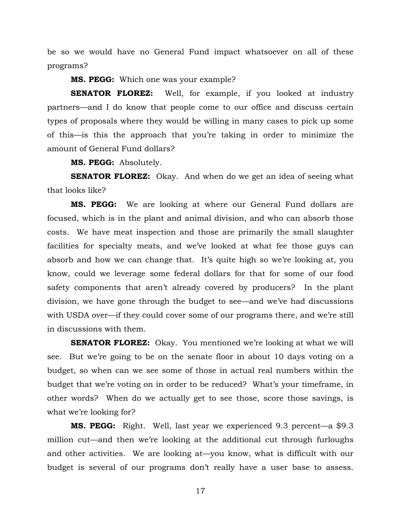be so we would have no General Fund impact whatsoever on all of these programs?

**MS. PEGG:** Which one was your example?

**SENATOR FLOREZ:** Well, for example, if you looked at industry partners—and I do know that people come to our office and discuss certain types of proposals where they would be willing in many cases to pick up some of this—is this the approach that you're taking in order to minimize the amount of General Fund dollars?

**MS. PEGG:** Absolutely.

**SENATOR FLOREZ:** Okay. And when do we get an idea of seeing what that looks like?

**MS. PEGG:** We are looking at where our General Fund dollars are focused, which is in the plant and animal division, and who can absorb those costs. We have meat inspection and those are primarily the small slaughter facilities for specialty meats, and we've looked at what fee those guys can absorb and how we can change that. It's quite high so we're looking at, you know, could we leverage some federal dollars for that for some of our food safety components that aren't already covered by producers? In the plant division, we have gone through the budget to see—and we've had discussions with USDA over—if they could cover some of our programs there, and we're still in discussions with them.

**SENATOR FLOREZ:** Okay. You mentioned we're looking at what we will see. But we're going to be on the senate floor in about 10 days voting on a budget, so when can we see some of those in actual real numbers within the budget that we're voting on in order to be reduced? What's your timeframe, in other words? When do we actually get to see those, score those savings, is what we're looking for?

**MS. PEGG:** Right. Well, last year we experienced 9.3 percent—a \$9.3 million cut—and then we're looking at the additional cut through furloughs and other activities. We are looking at—you know, what is difficult with our budget is several of our programs don't really have a user base to assess.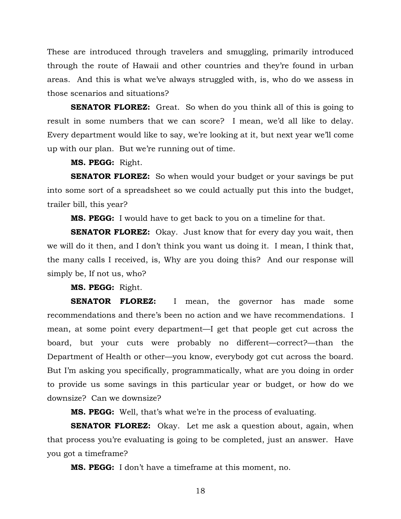These are introduced through travelers and smuggling, primarily introduced through the route of Hawaii and other countries and they're found in urban areas. And this is what we've always struggled with, is, who do we assess in those scenarios and situations?

**SENATOR FLOREZ:** Great. So when do you think all of this is going to result in some numbers that we can score? I mean, we'd all like to delay. Every department would like to say, we're looking at it, but next year we'll come up with our plan. But we're running out of time.

**MS. PEGG:** Right.

**SENATOR FLOREZ:** So when would your budget or your savings be put into some sort of a spreadsheet so we could actually put this into the budget, trailer bill, this year?

**MS. PEGG:** I would have to get back to you on a timeline for that.

**SENATOR FLOREZ:** Okay. Just know that for every day you wait, then we will do it then, and I don't think you want us doing it. I mean, I think that, the many calls I received, is, Why are you doing this? And our response will simply be, If not us, who?

**MS. PEGG:** Right.

**SENATOR FLOREZ:** I mean, the governor has made some recommendations and there's been no action and we have recommendations. I mean, at some point every department—I get that people get cut across the board, but your cuts were probably no different—correct?—than the Department of Health or other—you know, everybody got cut across the board. But I'm asking you specifically, programmatically, what are you doing in order to provide us some savings in this particular year or budget, or how do we downsize? Can we downsize?

**MS. PEGG:** Well, that's what we're in the process of evaluating.

**SENATOR FLOREZ:** Okay. Let me ask a question about, again, when that process you're evaluating is going to be completed, just an answer. Have you got a timeframe?

**MS. PEGG:** I don't have a timeframe at this moment, no.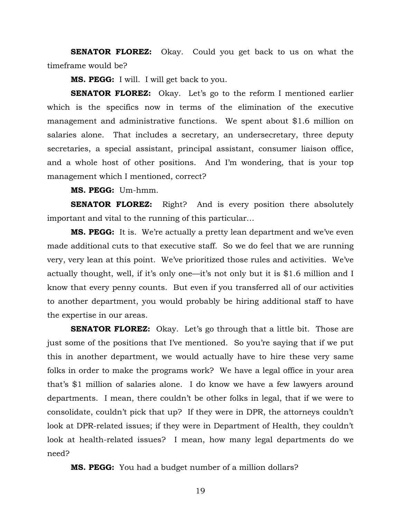**SENATOR FLOREZ:** Okay. Could you get back to us on what the timeframe would be?

**MS. PEGG:** I will. I will get back to you.

**SENATOR FLOREZ:** Okay. Let's go to the reform I mentioned earlier which is the specifics now in terms of the elimination of the executive management and administrative functions. We spent about \$1.6 million on salaries alone. That includes a secretary, an undersecretary, three deputy secretaries, a special assistant, principal assistant, consumer liaison office, and a whole host of other positions. And I'm wondering, that is your top management which I mentioned, correct?

**MS. PEGG:** Um-hmm.

**SENATOR FLOREZ:** Right? And is every position there absolutely important and vital to the running of this particular…

**MS. PEGG:** It is. We're actually a pretty lean department and we've even made additional cuts to that executive staff. So we do feel that we are running very, very lean at this point. We've prioritized those rules and activities. We've actually thought, well, if it's only one—it's not only but it is \$1.6 million and I know that every penny counts. But even if you transferred all of our activities to another department, you would probably be hiring additional staff to have the expertise in our areas.

**SENATOR FLOREZ:** Okay. Let's go through that a little bit. Those are just some of the positions that I've mentioned. So you're saying that if we put this in another department, we would actually have to hire these very same folks in order to make the programs work? We have a legal office in your area that's \$1 million of salaries alone. I do know we have a few lawyers around departments. I mean, there couldn't be other folks in legal, that if we were to consolidate, couldn't pick that up? If they were in DPR, the attorneys couldn't look at DPR-related issues; if they were in Department of Health, they couldn't look at health-related issues? I mean, how many legal departments do we need?

**MS. PEGG:** You had a budget number of a million dollars?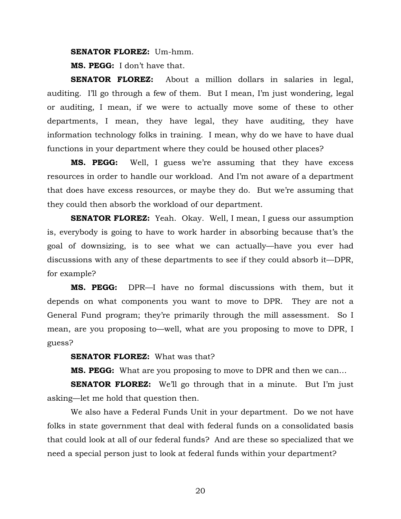**SENATOR FLOREZ:** Um-hmm.

**MS. PEGG:** I don't have that.

**SENATOR FLOREZ:** About a million dollars in salaries in legal, auditing. I'll go through a few of them. But I mean, I'm just wondering, legal or auditing, I mean, if we were to actually move some of these to other departments, I mean, they have legal, they have auditing, they have information technology folks in training. I mean, why do we have to have dual functions in your department where they could be housed other places?

**MS. PEGG:** Well, I guess we're assuming that they have excess resources in order to handle our workload. And I'm not aware of a department that does have excess resources, or maybe they do. But we're assuming that they could then absorb the workload of our department.

**SENATOR FLOREZ:** Yeah. Okay. Well, I mean, I guess our assumption is, everybody is going to have to work harder in absorbing because that's the goal of downsizing, is to see what we can actually—have you ever had discussions with any of these departments to see if they could absorb it—DPR, for example?

**MS. PEGG:** DPR—I have no formal discussions with them, but it depends on what components you want to move to DPR. They are not a General Fund program; they're primarily through the mill assessment. So I mean, are you proposing to—well, what are you proposing to move to DPR, I guess?

**SENATOR FLOREZ:** What was that?

**MS. PEGG:** What are you proposing to move to DPR and then we can…

**SENATOR FLOREZ:** We'll go through that in a minute. But I'm just asking—let me hold that question then.

We also have a Federal Funds Unit in your department. Do we not have folks in state government that deal with federal funds on a consolidated basis that could look at all of our federal funds? And are these so specialized that we need a special person just to look at federal funds within your department?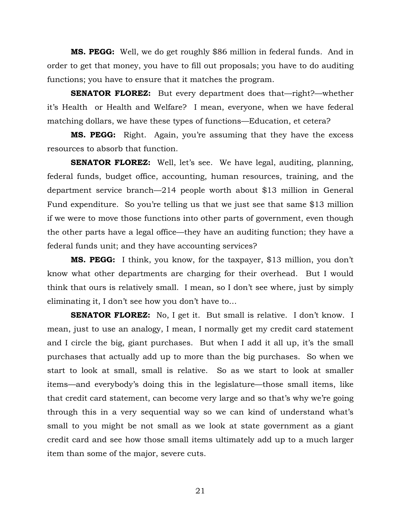**MS. PEGG:** Well, we do get roughly \$86 million in federal funds. And in order to get that money, you have to fill out proposals; you have to do auditing functions; you have to ensure that it matches the program.

**SENATOR FLOREZ:** But every department does that—right?—whether it's Health or Health and Welfare? I mean, everyone, when we have federal matching dollars, we have these types of functions—Education, et cetera?

**MS. PEGG:** Right. Again, you're assuming that they have the excess resources to absorb that function.

**SENATOR FLOREZ:** Well, let's see. We have legal, auditing, planning, federal funds, budget office, accounting, human resources, training, and the department service branch—214 people worth about \$13 million in General Fund expenditure. So you're telling us that we just see that same \$13 million if we were to move those functions into other parts of government, even though the other parts have a legal office—they have an auditing function; they have a federal funds unit; and they have accounting services?

**MS. PEGG:** I think, you know, for the taxpayer, \$13 million, you don't know what other departments are charging for their overhead. But I would think that ours is relatively small. I mean, so I don't see where, just by simply eliminating it, I don't see how you don't have to…

**SENATOR FLOREZ:** No, I get it. But small is relative. I don't know. I mean, just to use an analogy, I mean, I normally get my credit card statement and I circle the big, giant purchases. But when I add it all up, it's the small purchases that actually add up to more than the big purchases. So when we start to look at small, small is relative. So as we start to look at smaller items—and everybody's doing this in the legislature—those small items, like that credit card statement, can become very large and so that's why we're going through this in a very sequential way so we can kind of understand what's small to you might be not small as we look at state government as a giant credit card and see how those small items ultimately add up to a much larger item than some of the major, severe cuts.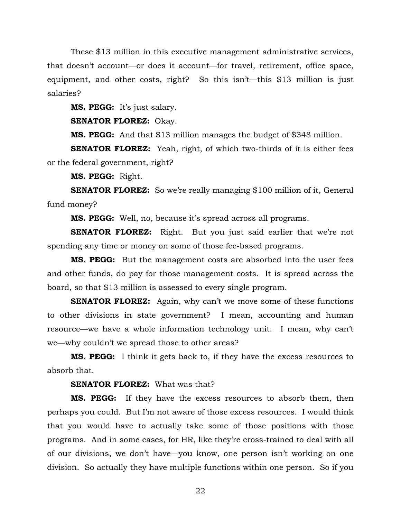These \$13 million in this executive management administrative services, that doesn't account—or does it account—for travel, retirement, office space, equipment, and other costs, right? So this isn't—this \$13 million is just salaries?

**MS. PEGG:** It's just salary.

**SENATOR FLOREZ:** Okay.

**MS. PEGG:** And that \$13 million manages the budget of \$348 million.

**SENATOR FLOREZ:** Yeah, right, of which two-thirds of it is either fees or the federal government, right?

**MS. PEGG:** Right.

**SENATOR FLOREZ:** So we're really managing \$100 million of it, General fund money?

**MS. PEGG:** Well, no, because it's spread across all programs.

**SENATOR FLOREZ:** Right. But you just said earlier that we're not spending any time or money on some of those fee-based programs.

**MS. PEGG:** But the management costs are absorbed into the user fees and other funds, do pay for those management costs. It is spread across the board, so that \$13 million is assessed to every single program.

**SENATOR FLOREZ:** Again, why can't we move some of these functions to other divisions in state government? I mean, accounting and human resource—we have a whole information technology unit. I mean, why can't we—why couldn't we spread those to other areas?

**MS. PEGG:** I think it gets back to, if they have the excess resources to absorb that.

**SENATOR FLOREZ:** What was that?

**MS. PEGG:** If they have the excess resources to absorb them, then perhaps you could. But I'm not aware of those excess resources. I would think that you would have to actually take some of those positions with those programs. And in some cases, for HR, like they're cross-trained to deal with all of our divisions, we don't have—you know, one person isn't working on one division. So actually they have multiple functions within one person. So if you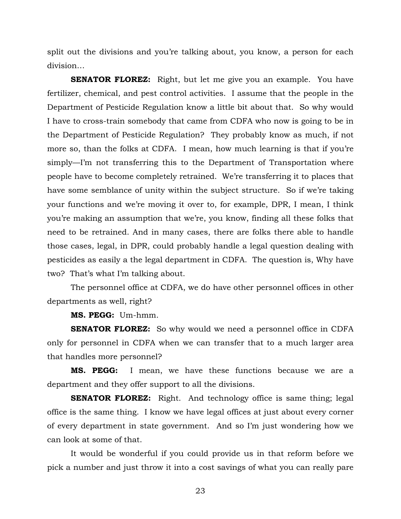split out the divisions and you're talking about, you know, a person for each division…

**SENATOR FLOREZ:** Right, but let me give you an example. You have fertilizer, chemical, and pest control activities. I assume that the people in the Department of Pesticide Regulation know a little bit about that. So why would I have to cross-train somebody that came from CDFA who now is going to be in the Department of Pesticide Regulation? They probably know as much, if not more so, than the folks at CDFA. I mean, how much learning is that if you're simply—I'm not transferring this to the Department of Transportation where people have to become completely retrained. We're transferring it to places that have some semblance of unity within the subject structure. So if we're taking your functions and we're moving it over to, for example, DPR, I mean, I think you're making an assumption that we're, you know, finding all these folks that need to be retrained. And in many cases, there are folks there able to handle those cases, legal, in DPR, could probably handle a legal question dealing with pesticides as easily a the legal department in CDFA. The question is, Why have two? That's what I'm talking about.

The personnel office at CDFA, we do have other personnel offices in other departments as well, right?

**MS. PEGG:** Um-hmm.

**SENATOR FLOREZ:** So why would we need a personnel office in CDFA only for personnel in CDFA when we can transfer that to a much larger area that handles more personnel?

**MS. PEGG:** I mean, we have these functions because we are a department and they offer support to all the divisions.

**SENATOR FLOREZ:** Right. And technology office is same thing; legal office is the same thing. I know we have legal offices at just about every corner of every department in state government. And so I'm just wondering how we can look at some of that.

It would be wonderful if you could provide us in that reform before we pick a number and just throw it into a cost savings of what you can really pare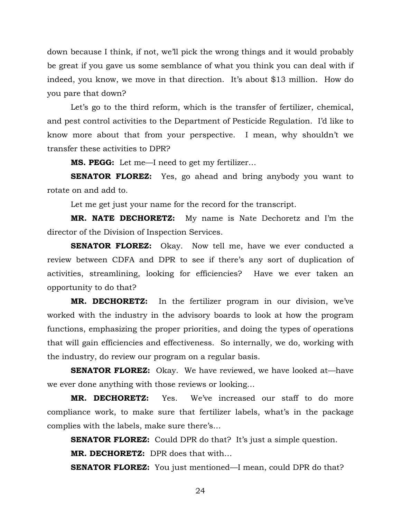down because I think, if not, we'll pick the wrong things and it would probably be great if you gave us some semblance of what you think you can deal with if indeed, you know, we move in that direction. It's about \$13 million. How do you pare that down?

Let's go to the third reform, which is the transfer of fertilizer, chemical, and pest control activities to the Department of Pesticide Regulation. I'd like to know more about that from your perspective. I mean, why shouldn't we transfer these activities to DPR?

**MS. PEGG:** Let me—I need to get my fertilizer…

**SENATOR FLOREZ:** Yes, go ahead and bring anybody you want to rotate on and add to.

Let me get just your name for the record for the transcript.

**MR. NATE DECHORETZ:** My name is Nate Dechoretz and I'm the director of the Division of Inspection Services.

**SENATOR FLOREZ:** Okay. Now tell me, have we ever conducted a review between CDFA and DPR to see if there's any sort of duplication of activities, streamlining, looking for efficiencies? Have we ever taken an opportunity to do that?

**MR. DECHORETZ:** In the fertilizer program in our division, we've worked with the industry in the advisory boards to look at how the program functions, emphasizing the proper priorities, and doing the types of operations that will gain efficiencies and effectiveness. So internally, we do, working with the industry, do review our program on a regular basis.

**SENATOR FLOREZ:** Okay. We have reviewed, we have looked at—have we ever done anything with those reviews or looking…

**MR. DECHORETZ:** Yes. We've increased our staff to do more compliance work, to make sure that fertilizer labels, what's in the package complies with the labels, make sure there's…

**SENATOR FLOREZ:** Could DPR do that? It's just a simple question.

**MR. DECHORETZ:** DPR does that with…

**SENATOR FLOREZ:** You just mentioned—I mean, could DPR do that?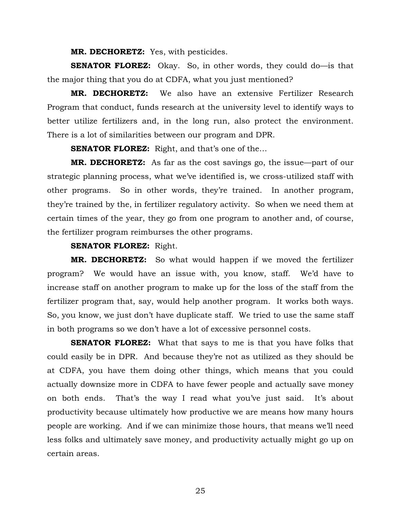**MR. DECHORETZ:** Yes, with pesticides.

**SENATOR FLOREZ:** Okay. So, in other words, they could do—is that the major thing that you do at CDFA, what you just mentioned?

**MR. DECHORETZ:** We also have an extensive Fertilizer Research Program that conduct, funds research at the university level to identify ways to better utilize fertilizers and, in the long run, also protect the environment. There is a lot of similarities between our program and DPR.

**SENATOR FLOREZ:** Right, and that's one of the...

**MR. DECHORETZ:** As far as the cost savings go, the issue—part of our strategic planning process, what we've identified is, we cross-utilized staff with other programs. So in other words, they're trained. In another program, they're trained by the, in fertilizer regulatory activity. So when we need them at certain times of the year, they go from one program to another and, of course, the fertilizer program reimburses the other programs.

## **SENATOR FLOREZ:** Right.

**MR. DECHORETZ:** So what would happen if we moved the fertilizer program? We would have an issue with, you know, staff. We'd have to increase staff on another program to make up for the loss of the staff from the fertilizer program that, say, would help another program. It works both ways. So, you know, we just don't have duplicate staff. We tried to use the same staff in both programs so we don't have a lot of excessive personnel costs.

**SENATOR FLOREZ:** What that says to me is that you have folks that could easily be in DPR. And because they're not as utilized as they should be at CDFA, you have them doing other things, which means that you could actually downsize more in CDFA to have fewer people and actually save money on both ends. That's the way I read what you've just said. It's about productivity because ultimately how productive we are means how many hours people are working. And if we can minimize those hours, that means we'll need less folks and ultimately save money, and productivity actually might go up on certain areas.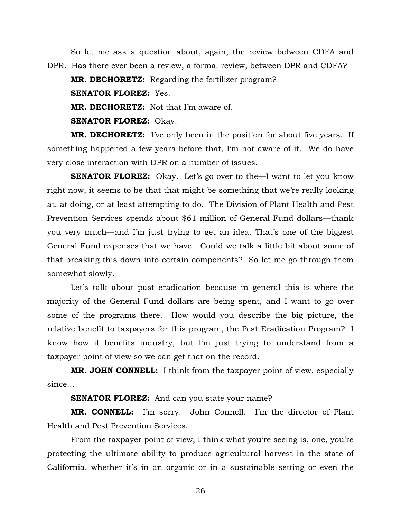So let me ask a question about, again, the review between CDFA and DPR. Has there ever been a review, a formal review, between DPR and CDFA?

**MR. DECHORETZ:** Regarding the fertilizer program?

**SENATOR FLOREZ:** Yes.

**MR. DECHORETZ:** Not that I'm aware of.

**SENATOR FLOREZ:** Okay.

**MR. DECHORETZ:** I've only been in the position for about five years. If something happened a few years before that, I'm not aware of it. We do have very close interaction with DPR on a number of issues.

**SENATOR FLOREZ:** Okay. Let's go over to the—I want to let you know right now, it seems to be that that might be something that we're really looking at, at doing, or at least attempting to do. The Division of Plant Health and Pest Prevention Services spends about \$61 million of General Fund dollars—thank you very much—and I'm just trying to get an idea. That's one of the biggest General Fund expenses that we have. Could we talk a little bit about some of that breaking this down into certain components? So let me go through them somewhat slowly.

 Let's talk about past eradication because in general this is where the majority of the General Fund dollars are being spent, and I want to go over some of the programs there. How would you describe the big picture, the relative benefit to taxpayers for this program, the Pest Eradication Program? I know how it benefits industry, but I'm just trying to understand from a taxpayer point of view so we can get that on the record.

**MR. JOHN CONNELL:** I think from the taxpayer point of view, especially since…

**SENATOR FLOREZ:** And can you state your name?

**MR. CONNELL:** I'm sorry. John Connell. I'm the director of Plant Health and Pest Prevention Services.

 From the taxpayer point of view, I think what you're seeing is, one, you're protecting the ultimate ability to produce agricultural harvest in the state of California, whether it's in an organic or in a sustainable setting or even the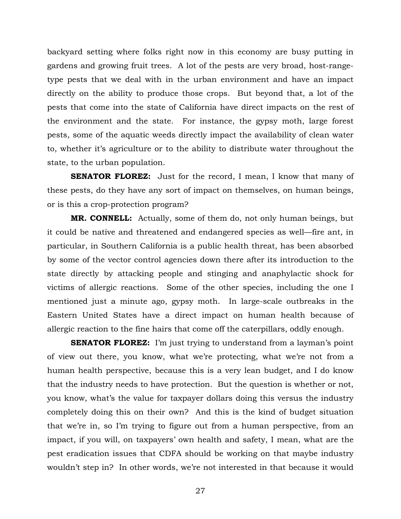backyard setting where folks right now in this economy are busy putting in gardens and growing fruit trees. A lot of the pests are very broad, host-rangetype pests that we deal with in the urban environment and have an impact directly on the ability to produce those crops. But beyond that, a lot of the pests that come into the state of California have direct impacts on the rest of the environment and the state. For instance, the gypsy moth, large forest pests, some of the aquatic weeds directly impact the availability of clean water to, whether it's agriculture or to the ability to distribute water throughout the state, to the urban population.

**SENATOR FLOREZ:** Just for the record, I mean, I know that many of these pests, do they have any sort of impact on themselves, on human beings, or is this a crop-protection program?

**MR. CONNELL:** Actually, some of them do, not only human beings, but it could be native and threatened and endangered species as well—fire ant, in particular, in Southern California is a public health threat, has been absorbed by some of the vector control agencies down there after its introduction to the state directly by attacking people and stinging and anaphylactic shock for victims of allergic reactions. Some of the other species, including the one I mentioned just a minute ago, gypsy moth. In large-scale outbreaks in the Eastern United States have a direct impact on human health because of allergic reaction to the fine hairs that come off the caterpillars, oddly enough.

**SENATOR FLOREZ:** I'm just trying to understand from a layman's point of view out there, you know, what we're protecting, what we're not from a human health perspective, because this is a very lean budget, and I do know that the industry needs to have protection. But the question is whether or not, you know, what's the value for taxpayer dollars doing this versus the industry completely doing this on their own? And this is the kind of budget situation that we're in, so I'm trying to figure out from a human perspective, from an impact, if you will, on taxpayers' own health and safety, I mean, what are the pest eradication issues that CDFA should be working on that maybe industry wouldn't step in? In other words, we're not interested in that because it would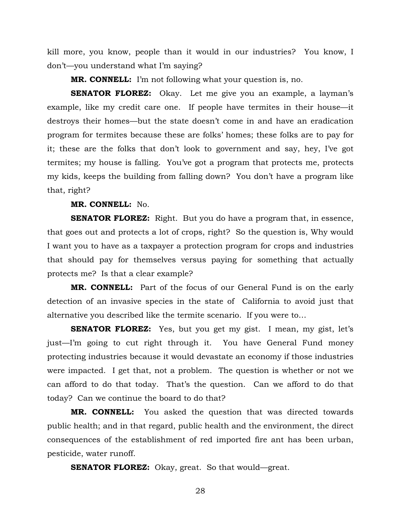kill more, you know, people than it would in our industries? You know, I don't—you understand what I'm saying?

**MR. CONNELL:** I'm not following what your question is, no.

**SENATOR FLOREZ:** Okay. Let me give you an example, a layman's example, like my credit care one. If people have termites in their house—it destroys their homes—but the state doesn't come in and have an eradication program for termites because these are folks' homes; these folks are to pay for it; these are the folks that don't look to government and say, hey, I've got termites; my house is falling. You've got a program that protects me, protects my kids, keeps the building from falling down? You don't have a program like that, right?

#### **MR. CONNELL:** No.

**SENATOR FLOREZ:** Right. But you do have a program that, in essence, that goes out and protects a lot of crops, right? So the question is, Why would I want you to have as a taxpayer a protection program for crops and industries that should pay for themselves versus paying for something that actually protects me? Is that a clear example?

**MR. CONNELL:** Part of the focus of our General Fund is on the early detection of an invasive species in the state of California to avoid just that alternative you described like the termite scenario. If you were to…

**SENATOR FLOREZ:** Yes, but you get my gist. I mean, my gist, let's just—I'm going to cut right through it. You have General Fund money protecting industries because it would devastate an economy if those industries were impacted. I get that, not a problem. The question is whether or not we can afford to do that today. That's the question. Can we afford to do that today? Can we continue the board to do that?

**MR. CONNELL:** You asked the question that was directed towards public health; and in that regard, public health and the environment, the direct consequences of the establishment of red imported fire ant has been urban, pesticide, water runoff.

**SENATOR FLOREZ:** Okay, great. So that would—great.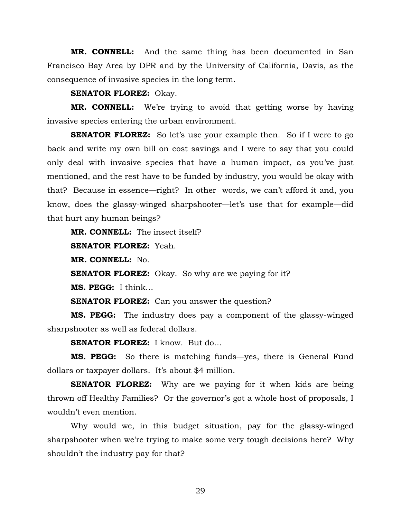**MR. CONNELL:** And the same thing has been documented in San Francisco Bay Area by DPR and by the University of California, Davis, as the consequence of invasive species in the long term.

**SENATOR FLOREZ:** Okay.

**MR. CONNELL:** We're trying to avoid that getting worse by having invasive species entering the urban environment.

**SENATOR FLOREZ:** So let's use your example then. So if I were to go back and write my own bill on cost savings and I were to say that you could only deal with invasive species that have a human impact, as you've just mentioned, and the rest have to be funded by industry, you would be okay with that? Because in essence—right? In other words, we can't afford it and, you know, does the glassy-winged sharpshooter—let's use that for example—did that hurt any human beings?

**MR. CONNELL:** The insect itself?

**SENATOR FLOREZ:** Yeah.

**MR. CONNELL:** No.

**SENATOR FLOREZ:** Okay. So why are we paying for it?

**MS. PEGG:** I think…

**SENATOR FLOREZ:** Can you answer the question?

**MS. PEGG:** The industry does pay a component of the glassy-winged sharpshooter as well as federal dollars.

**SENATOR FLOREZ:** I know. But do…

**MS. PEGG:** So there is matching funds—yes, there is General Fund dollars or taxpayer dollars. It's about \$4 million.

**SENATOR FLOREZ:** Why are we paying for it when kids are being thrown off Healthy Families? Or the governor's got a whole host of proposals, I wouldn't even mention.

 Why would we, in this budget situation, pay for the glassy-winged sharpshooter when we're trying to make some very tough decisions here? Why shouldn't the industry pay for that?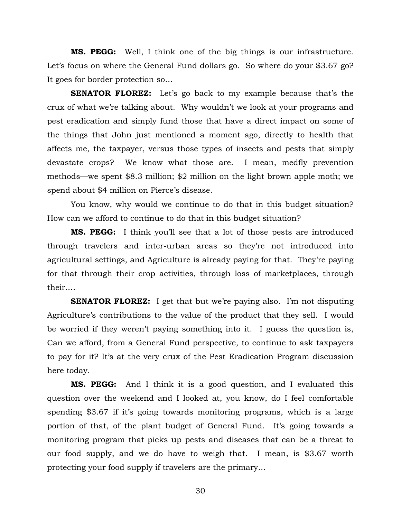**MS. PEGG:** Well, I think one of the big things is our infrastructure. Let's focus on where the General Fund dollars go. So where do your \$3.67 go? It goes for border protection so…

**SENATOR FLOREZ:** Let's go back to my example because that's the crux of what we're talking about. Why wouldn't we look at your programs and pest eradication and simply fund those that have a direct impact on some of the things that John just mentioned a moment ago, directly to health that affects me, the taxpayer, versus those types of insects and pests that simply devastate crops? We know what those are. I mean, medfly prevention methods—we spent \$8.3 million; \$2 million on the light brown apple moth; we spend about \$4 million on Pierce's disease.

You know, why would we continue to do that in this budget situation? How can we afford to continue to do that in this budget situation?

**MS. PEGG:** I think you'll see that a lot of those pests are introduced through travelers and inter-urban areas so they're not introduced into agricultural settings, and Agriculture is already paying for that. They're paying for that through their crop activities, through loss of marketplaces, through their.…

**SENATOR FLOREZ:** I get that but we're paying also. I'm not disputing Agriculture's contributions to the value of the product that they sell. I would be worried if they weren't paying something into it. I guess the question is, Can we afford, from a General Fund perspective, to continue to ask taxpayers to pay for it? It's at the very crux of the Pest Eradication Program discussion here today.

**MS. PEGG:** And I think it is a good question, and I evaluated this question over the weekend and I looked at, you know, do I feel comfortable spending \$3.67 if it's going towards monitoring programs, which is a large portion of that, of the plant budget of General Fund. It's going towards a monitoring program that picks up pests and diseases that can be a threat to our food supply, and we do have to weigh that. I mean, is \$3.67 worth protecting your food supply if travelers are the primary…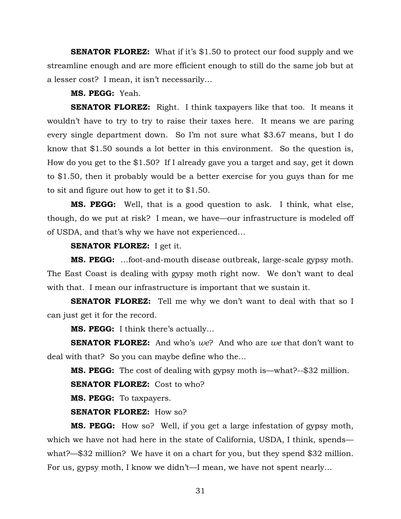**SENATOR FLOREZ:** What if it's \$1.50 to protect our food supply and we streamline enough and are more efficient enough to still do the same job but at a lesser cost? I mean, it isn't necessarily…

**MS. PEGG:** Yeah.

**SENATOR FLOREZ:** Right. I think taxpayers like that too. It means it wouldn't have to try to try to raise their taxes here. It means we are paring every single department down. So I'm not sure what \$3.67 means, but I do know that \$1.50 sounds a lot better in this environment. So the question is, How do you get to the \$1.50? If I already gave you a target and say, get it down to \$1.50, then it probably would be a better exercise for you guys than for me to sit and figure out how to get it to \$1.50.

**MS. PEGG:** Well, that is a good question to ask. I think, what else, though, do we put at risk? I mean, we have—our infrastructure is modeled off of USDA, and that's why we have not experienced…

#### **SENATOR FLOREZ:** I get it.

**MS. PEGG:** …foot-and-mouth disease outbreak, large-scale gypsy moth. The East Coast is dealing with gypsy moth right now. We don't want to deal with that. I mean our infrastructure is important that we sustain it.

**SENATOR FLOREZ:** Tell me why we don't want to deal with that so I can just get it for the record.

**MS. PEGG:** I think there's actually…

**SENATOR FLOREZ:** And who's *we*? And who are *we* that don't want to deal with that? So you can maybe define who the…

**MS. PEGG:** The cost of dealing with gypsy moth is—what?--\$32 million.

**SENATOR FLOREZ:** Cost to who?

**MS. PEGG:** To taxpayers.

#### **SENATOR FLOREZ:** How so?

**MS. PEGG:** How so? Well, if you get a large infestation of gypsy moth, which we have not had here in the state of California, USDA, I think, spends what?—\$32 million? We have it on a chart for you, but they spend \$32 million. For us, gypsy moth, I know we didn't—I mean, we have not spent nearly…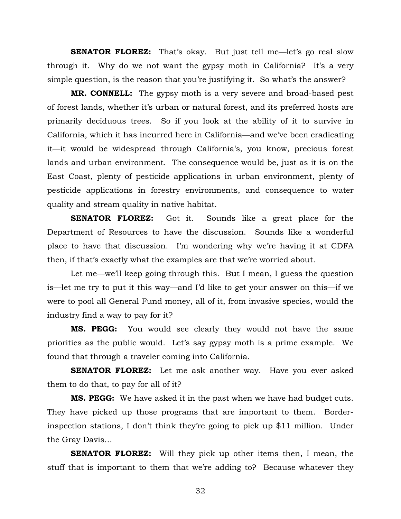**SENATOR FLOREZ:** That's okay. But just tell me—let's go real slow through it. Why do we not want the gypsy moth in California? It's a very simple question, is the reason that you're justifying it. So what's the answer?

**MR. CONNELL:** The gypsy moth is a very severe and broad-based pest of forest lands, whether it's urban or natural forest, and its preferred hosts are primarily deciduous trees. So if you look at the ability of it to survive in California, which it has incurred here in California—and we've been eradicating it—it would be widespread through California's, you know, precious forest lands and urban environment. The consequence would be, just as it is on the East Coast, plenty of pesticide applications in urban environment, plenty of pesticide applications in forestry environments, and consequence to water quality and stream quality in native habitat.

**SENATOR FLOREZ:** Got it. Sounds like a great place for the Department of Resources to have the discussion. Sounds like a wonderful place to have that discussion. I'm wondering why we're having it at CDFA then, if that's exactly what the examples are that we're worried about.

Let me—we'll keep going through this. But I mean, I guess the question is—let me try to put it this way—and I'd like to get your answer on this—if we were to pool all General Fund money, all of it, from invasive species, would the industry find a way to pay for it?

**MS. PEGG:** You would see clearly they would not have the same priorities as the public would. Let's say gypsy moth is a prime example. We found that through a traveler coming into California.

**SENATOR FLOREZ:** Let me ask another way. Have you ever asked them to do that, to pay for all of it?

**MS. PEGG:** We have asked it in the past when we have had budget cuts. They have picked up those programs that are important to them. Borderinspection stations, I don't think they're going to pick up \$11 million. Under the Gray Davis…

**SENATOR FLOREZ:** Will they pick up other items then, I mean, the stuff that is important to them that we're adding to? Because whatever they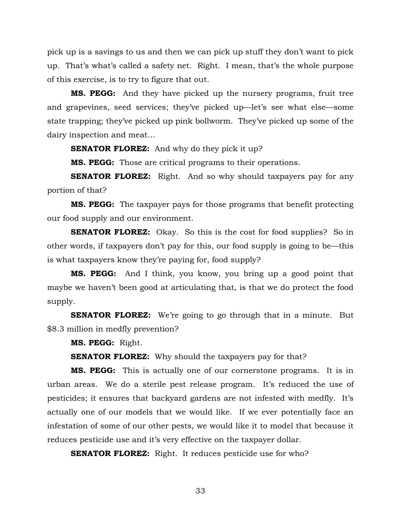pick up is a savings to us and then we can pick up stuff they don't want to pick up. That's what's called a safety net. Right. I mean, that's the whole purpose of this exercise, is to try to figure that out.

**MS. PEGG:** And they have picked up the nursery programs, fruit tree and grapevines, seed services; they've picked up—let's see what else—some state trapping; they've picked up pink bollworm. They've picked up some of the dairy inspection and meat…

**SENATOR FLOREZ:** And why do they pick it up?

**MS. PEGG:** Those are critical programs to their operations.

**SENATOR FLOREZ:** Right. And so why should taxpayers pay for any portion of that?

**MS. PEGG:** The taxpayer pays for those programs that benefit protecting our food supply and our environment.

**SENATOR FLOREZ:** Okay. So this is the cost for food supplies? So in other words, if taxpayers don't pay for this, our food supply is going to be—this is what taxpayers know they're paying for, food supply?

**MS. PEGG:** And I think, you know, you bring up a good point that maybe we haven't been good at articulating that, is that we do protect the food supply.

**SENATOR FLOREZ:** We're going to go through that in a minute. But \$8.3 million in medfly prevention?

**MS. PEGG:** Right.

**SENATOR FLOREZ:** Why should the taxpayers pay for that?

**MS. PEGG:** This is actually one of our cornerstone programs. It is in urban areas. We do a sterile pest release program. It's reduced the use of pesticides; it ensures that backyard gardens are not infested with medfly. It's actually one of our models that we would like. If we ever potentially face an infestation of some of our other pests, we would like it to model that because it reduces pesticide use and it's very effective on the taxpayer dollar.

**SENATOR FLOREZ:** Right. It reduces pesticide use for who?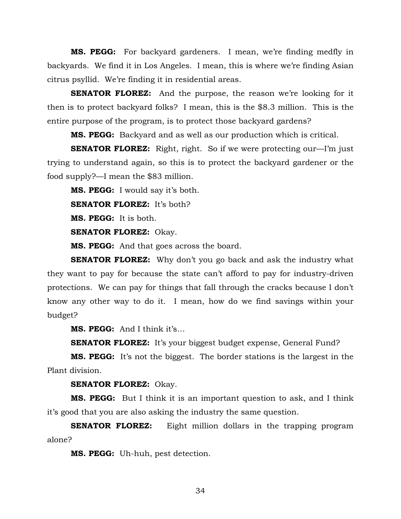**MS. PEGG:** For backyard gardeners. I mean, we're finding medfly in backyards. We find it in Los Angeles. I mean, this is where we're finding Asian citrus psyllid. We're finding it in residential areas.

**SENATOR FLOREZ:** And the purpose, the reason we're looking for it then is to protect backyard folks? I mean, this is the \$8.3 million. This is the entire purpose of the program, is to protect those backyard gardens?

**MS. PEGG:** Backyard and as well as our production which is critical.

**SENATOR FLOREZ:** Right, right. So if we were protecting our—I'm just trying to understand again, so this is to protect the backyard gardener or the food supply?—I mean the \$83 million.

**MS. PEGG:** I would say it's both.

**SENATOR FLOREZ:** It's both?

**MS. PEGG:** It is both.

**SENATOR FLOREZ:** Okay.

**MS. PEGG:** And that goes across the board.

**SENATOR FLOREZ:** Why don't you go back and ask the industry what they want to pay for because the state can't afford to pay for industry-driven protections. We can pay for things that fall through the cracks because I don't know any other way to do it. I mean, how do we find savings within your budget?

**MS. PEGG:** And I think it's…

**SENATOR FLOREZ:** It's your biggest budget expense, General Fund?

**MS. PEGG:** It's not the biggest. The border stations is the largest in the Plant division.

**SENATOR FLOREZ:** Okay.

**MS. PEGG:** But I think it is an important question to ask, and I think it's good that you are also asking the industry the same question.

**SENATOR FLOREZ:** Eight million dollars in the trapping program alone?

**MS. PEGG:** Uh-huh, pest detection.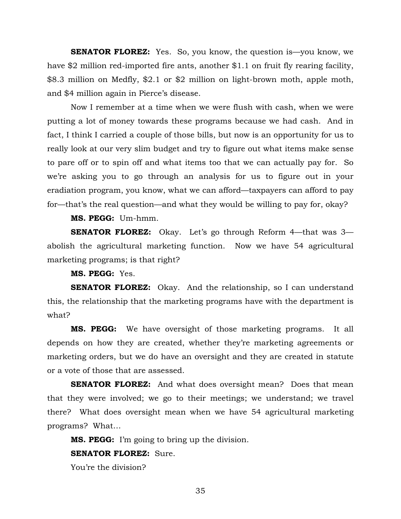**SENATOR FLOREZ:** Yes. So, you know, the question is—you know, we have \$2 million red-imported fire ants, another \$1.1 on fruit fly rearing facility, \$8.3 million on Medfly, \$2.1 or \$2 million on light-brown moth, apple moth, and \$4 million again in Pierce's disease.

 Now I remember at a time when we were flush with cash, when we were putting a lot of money towards these programs because we had cash. And in fact, I think I carried a couple of those bills, but now is an opportunity for us to really look at our very slim budget and try to figure out what items make sense to pare off or to spin off and what items too that we can actually pay for. So we're asking you to go through an analysis for us to figure out in your eradiation program, you know, what we can afford—taxpayers can afford to pay for—that's the real question—and what they would be willing to pay for, okay?

**MS. PEGG:** Um-hmm.

**SENATOR FLOREZ:** Okay. Let's go through Reform 4—that was 3 abolish the agricultural marketing function. Now we have 54 agricultural marketing programs; is that right?

**MS. PEGG:** Yes.

**SENATOR FLOREZ:** Okay. And the relationship, so I can understand this, the relationship that the marketing programs have with the department is what?

**MS. PEGG:** We have oversight of those marketing programs. It all depends on how they are created, whether they're marketing agreements or marketing orders, but we do have an oversight and they are created in statute or a vote of those that are assessed.

**SENATOR FLOREZ:** And what does oversight mean? Does that mean that they were involved; we go to their meetings; we understand; we travel there? What does oversight mean when we have 54 agricultural marketing programs? What…

**MS. PEGG:** I'm going to bring up the division.

#### **SENATOR FLOREZ:** Sure.

You're the division?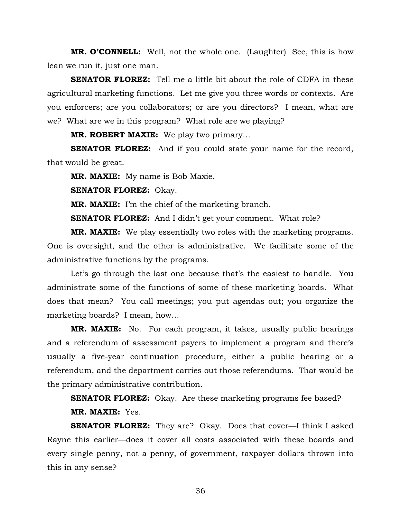**MR. O'CONNELL:** Well, not the whole one. (Laughter) See, this is how lean we run it, just one man.

**SENATOR FLOREZ:** Tell me a little bit about the role of CDFA in these agricultural marketing functions. Let me give you three words or contexts. Are you enforcers; are you collaborators; or are you directors? I mean, what are we? What are we in this program? What role are we playing?

**MR. ROBERT MAXIE:** We play two primary…

**SENATOR FLOREZ:** And if you could state your name for the record, that would be great.

**MR. MAXIE:** My name is Bob Maxie.

**SENATOR FLOREZ:** Okay.

**MR. MAXIE:** I'm the chief of the marketing branch.

**SENATOR FLOREZ:** And I didn't get your comment. What role?

**MR. MAXIE:** We play essentially two roles with the marketing programs. One is oversight, and the other is administrative. We facilitate some of the administrative functions by the programs.

 Let's go through the last one because that's the easiest to handle. You administrate some of the functions of some of these marketing boards. What does that mean? You call meetings; you put agendas out; you organize the marketing boards? I mean, how…

**MR. MAXIE:** No. For each program, it takes, usually public hearings and a referendum of assessment payers to implement a program and there's usually a five-year continuation procedure, either a public hearing or a referendum, and the department carries out those referendums. That would be the primary administrative contribution.

**SENATOR FLOREZ:** Okay. Are these marketing programs fee based?

## **MR. MAXIE:** Yes.

**SENATOR FLOREZ:** They are? Okay. Does that cover—I think I asked Rayne this earlier—does it cover all costs associated with these boards and every single penny, not a penny, of government, taxpayer dollars thrown into this in any sense?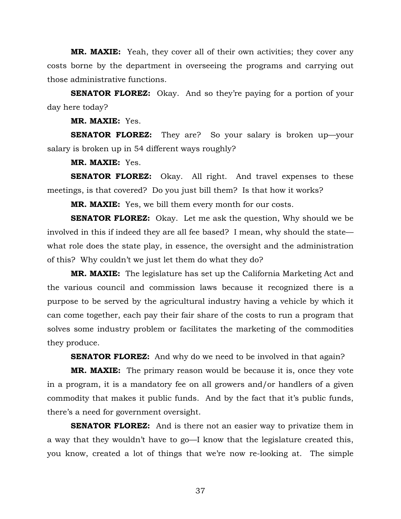**MR. MAXIE:** Yeah, they cover all of their own activities; they cover any costs borne by the department in overseeing the programs and carrying out those administrative functions.

**SENATOR FLOREZ:** Okay. And so they're paying for a portion of your day here today?

**MR. MAXIE:** Yes.

**SENATOR FLOREZ:** They are? So your salary is broken up—your salary is broken up in 54 different ways roughly?

**MR. MAXIE:** Yes.

**SENATOR FLOREZ:** Okay. All right. And travel expenses to these meetings, is that covered? Do you just bill them? Is that how it works?

**MR. MAXIE:** Yes, we bill them every month for our costs.

**SENATOR FLOREZ:** Okay. Let me ask the question, Why should we be involved in this if indeed they are all fee based? I mean, why should the state what role does the state play, in essence, the oversight and the administration of this? Why couldn't we just let them do what they do?

**MR. MAXIE:** The legislature has set up the California Marketing Act and the various council and commission laws because it recognized there is a purpose to be served by the agricultural industry having a vehicle by which it can come together, each pay their fair share of the costs to run a program that solves some industry problem or facilitates the marketing of the commodities they produce.

**SENATOR FLOREZ:** And why do we need to be involved in that again?

**MR. MAXIE:** The primary reason would be because it is, once they vote in a program, it is a mandatory fee on all growers and/or handlers of a given commodity that makes it public funds. And by the fact that it's public funds, there's a need for government oversight.

**SENATOR FLOREZ:** And is there not an easier way to privatize them in a way that they wouldn't have to go—I know that the legislature created this, you know, created a lot of things that we're now re-looking at. The simple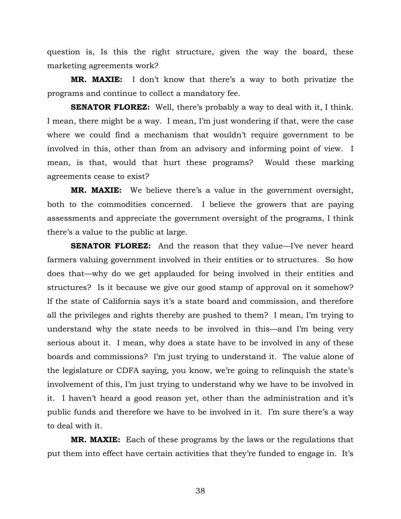question is, Is this the right structure, given the way the board, these marketing agreements work?

**MR. MAXIE:** I don't know that there's a way to both privatize the programs and continue to collect a mandatory fee.

**SENATOR FLOREZ:** Well, there's probably a way to deal with it, I think. I mean, there might be a way. I mean, I'm just wondering if that, were the case where we could find a mechanism that wouldn't require government to be involved in this, other than from an advisory and informing point of view. I mean, is that, would that hurt these programs? Would these marking agreements cease to exist?

**MR. MAXIE:** We believe there's a value in the government oversight, both to the commodities concerned. I believe the growers that are paying assessments and appreciate the government oversight of the programs, I think there's a value to the public at large.

**SENATOR FLOREZ:** And the reason that they value—I've never heard farmers valuing government involved in their entities or to structures. So how does that—why do we get applauded for being involved in their entities and structures? Is it because we give our good stamp of approval on it somehow? If the state of California says it's a state board and commission, and therefore all the privileges and rights thereby are pushed to them? I mean, I'm trying to understand why the state needs to be involved in this—and I'm being very serious about it. I mean, why does a state have to be involved in any of these boards and commissions? I'm just trying to understand it. The value alone of the legislature or CDFA saying, you know, we're going to relinquish the state's involvement of this, I'm just trying to understand why we have to be involved in it. I haven't heard a good reason yet, other than the administration and it's public funds and therefore we have to be involved in it. I'm sure there's a way to deal with it.

**MR. MAXIE:** Each of these programs by the laws or the regulations that put them into effect have certain activities that they're funded to engage in. It's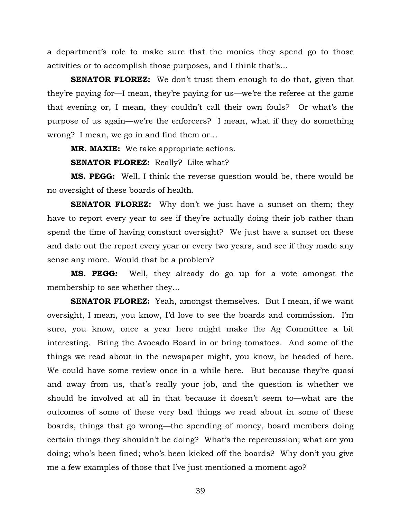a department's role to make sure that the monies they spend go to those activities or to accomplish those purposes, and I think that's…

**SENATOR FLOREZ:** We don't trust them enough to do that, given that they're paying for—I mean, they're paying for us—we're the referee at the game that evening or, I mean, they couldn't call their own fouls? Or what's the purpose of us again—we're the enforcers? I mean, what if they do something wrong? I mean, we go in and find them or…

**MR. MAXIE:** We take appropriate actions.

**SENATOR FLOREZ:** Really? Like what?

**MS. PEGG:** Well, I think the reverse question would be, there would be no oversight of these boards of health.

**SENATOR FLOREZ:** Why don't we just have a sunset on them; they have to report every year to see if they're actually doing their job rather than spend the time of having constant oversight? We just have a sunset on these and date out the report every year or every two years, and see if they made any sense any more. Would that be a problem?

**MS. PEGG:** Well, they already do go up for a vote amongst the membership to see whether they…

**SENATOR FLOREZ:** Yeah, amongst themselves. But I mean, if we want oversight, I mean, you know, I'd love to see the boards and commission. I'm sure, you know, once a year here might make the Ag Committee a bit interesting. Bring the Avocado Board in or bring tomatoes. And some of the things we read about in the newspaper might, you know, be headed of here. We could have some review once in a while here. But because they're quasi and away from us, that's really your job, and the question is whether we should be involved at all in that because it doesn't seem to—what are the outcomes of some of these very bad things we read about in some of these boards, things that go wrong—the spending of money, board members doing certain things they shouldn't be doing? What's the repercussion; what are you doing; who's been fined; who's been kicked off the boards? Why don't you give me a few examples of those that I've just mentioned a moment ago?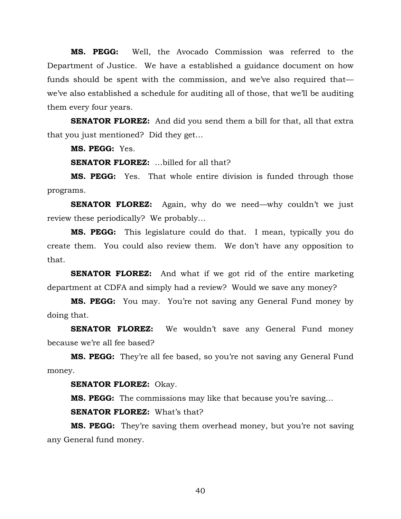**MS. PEGG:** Well, the Avocado Commission was referred to the Department of Justice. We have a established a guidance document on how funds should be spent with the commission, and we've also required that we've also established a schedule for auditing all of those, that we'll be auditing them every four years.

**SENATOR FLOREZ:** And did you send them a bill for that, all that extra that you just mentioned? Did they get…

**MS. PEGG:** Yes.

**SENATOR FLOREZ:** …billed for all that?

**MS. PEGG:** Yes. That whole entire division is funded through those programs.

**SENATOR FLOREZ:** Again, why do we need—why couldn't we just review these periodically? We probably…

**MS. PEGG:** This legislature could do that. I mean, typically you do create them. You could also review them. We don't have any opposition to that.

**SENATOR FLOREZ:** And what if we got rid of the entire marketing department at CDFA and simply had a review? Would we save any money?

**MS. PEGG:** You may. You're not saving any General Fund money by doing that.

**SENATOR FLOREZ:** We wouldn't save any General Fund money because we're all fee based?

**MS. PEGG:** They're all fee based, so you're not saving any General Fund money.

**SENATOR FLOREZ:** Okay.

**MS. PEGG:** The commissions may like that because you're saving…

**SENATOR FLOREZ:** What's that?

**MS. PEGG:** They're saving them overhead money, but you're not saving any General fund money.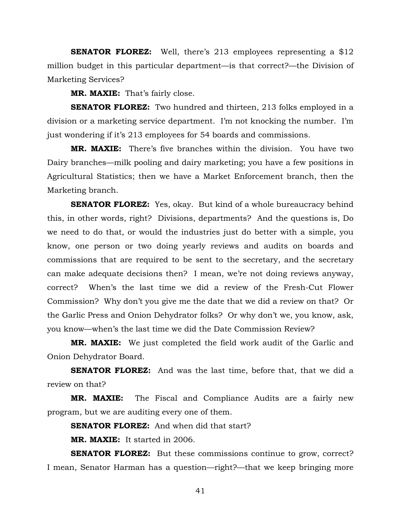**SENATOR FLOREZ:** Well, there's 213 employees representing a \$12 million budget in this particular department—is that correct?—the Division of Marketing Services?

**MR. MAXIE:** That's fairly close.

**SENATOR FLOREZ:** Two hundred and thirteen, 213 folks employed in a division or a marketing service department. I'm not knocking the number. I'm just wondering if it's 213 employees for 54 boards and commissions.

**MR. MAXIE:** There's five branches within the division. You have two Dairy branches—milk pooling and dairy marketing; you have a few positions in Agricultural Statistics; then we have a Market Enforcement branch, then the Marketing branch.

**SENATOR FLOREZ:** Yes, okay. But kind of a whole bureaucracy behind this, in other words, right? Divisions, departments? And the questions is, Do we need to do that, or would the industries just do better with a simple, you know, one person or two doing yearly reviews and audits on boards and commissions that are required to be sent to the secretary, and the secretary can make adequate decisions then? I mean, we're not doing reviews anyway, correct? When's the last time we did a review of the Fresh-Cut Flower Commission? Why don't you give me the date that we did a review on that? Or the Garlic Press and Onion Dehydrator folks? Or why don't we, you know, ask, you know—when's the last time we did the Date Commission Review?

**MR. MAXIE:** We just completed the field work audit of the Garlic and Onion Dehydrator Board.

**SENATOR FLOREZ:** And was the last time, before that, that we did a review on that?

**MR. MAXIE:** The Fiscal and Compliance Audits are a fairly new program, but we are auditing every one of them.

**SENATOR FLOREZ:** And when did that start?

 **MR. MAXIE:** It started in 2006.

**SENATOR FLOREZ:** But these commissions continue to grow, correct? I mean, Senator Harman has a question—right?—that we keep bringing more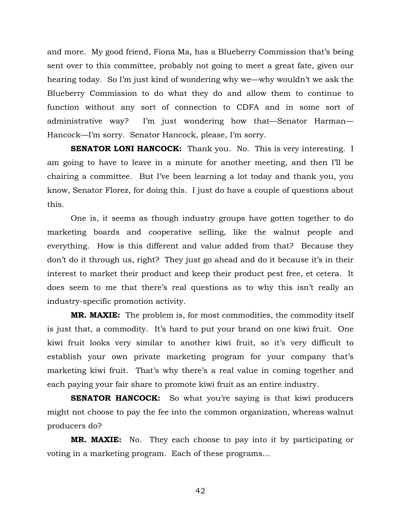and more. My good friend, Fiona Ma, has a Blueberry Commission that's being sent over to this committee, probably not going to meet a great fate, given our hearing today. So I'm just kind of wondering why we—why wouldn't we ask the Blueberry Commission to do what they do and allow them to continue to function without any sort of connection to CDFA and in some sort of administrative way? I'm just wondering how that—Senator Harman— Hancock—I'm sorry. Senator Hancock, please, I'm sorry.

**SENATOR LONI HANCOCK:** Thank you. No. This is very interesting. I am going to have to leave in a minute for another meeting, and then I'll be chairing a committee. But I've been learning a lot today and thank you, you know, Senator Florez, for doing this. I just do have a couple of questions about this.

 One is, it seems as though industry groups have gotten together to do marketing boards and cooperative selling, like the walnut people and everything. How is this different and value added from that? Because they don't do it through us, right? They just go ahead and do it because it's in their interest to market their product and keep their product pest free, et cetera. It does seem to me that there's real questions as to why this isn't really an industry-specific promotion activity.

**MR. MAXIE:** The problem is, for most commodities, the commodity itself is just that, a commodity. It's hard to put your brand on one kiwi fruit. One kiwi fruit looks very similar to another kiwi fruit, so it's very difficult to establish your own private marketing program for your company that's marketing kiwi fruit. That's why there's a real value in coming together and each paying your fair share to promote kiwi fruit as an entire industry.

**SENATOR HANCOCK:** So what you're saying is that kiwi producers might not choose to pay the fee into the common organization, whereas walnut producers do?

**MR. MAXIE:** No. They each choose to pay into it by participating or voting in a marketing program. Each of these programs…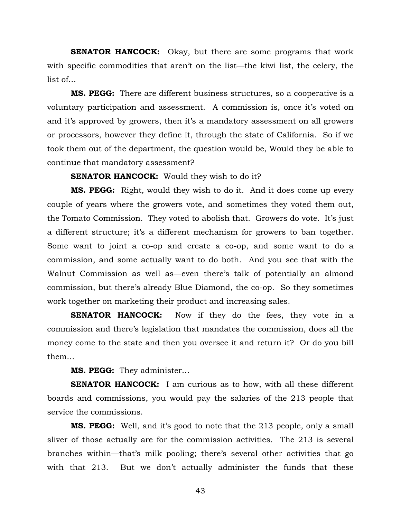**SENATOR HANCOCK:** Okay, but there are some programs that work with specific commodities that aren't on the list—the kiwi list, the celery, the list of…

**MS. PEGG:** There are different business structures, so a cooperative is a voluntary participation and assessment. A commission is, once it's voted on and it's approved by growers, then it's a mandatory assessment on all growers or processors, however they define it, through the state of California. So if we took them out of the department, the question would be, Would they be able to continue that mandatory assessment?

**SENATOR HANCOCK:** Would they wish to do it?

**MS. PEGG:** Right, would they wish to do it. And it does come up every couple of years where the growers vote, and sometimes they voted them out, the Tomato Commission. They voted to abolish that. Growers do vote. It's just a different structure; it's a different mechanism for growers to ban together. Some want to joint a co-op and create a co-op, and some want to do a commission, and some actually want to do both. And you see that with the Walnut Commission as well as—even there's talk of potentially an almond commission, but there's already Blue Diamond, the co-op. So they sometimes work together on marketing their product and increasing sales.

**SENATOR HANCOCK:** Now if they do the fees, they vote in a commission and there's legislation that mandates the commission, does all the money come to the state and then you oversee it and return it? Or do you bill them…

**MS. PEGG:** They administer…

**SENATOR HANCOCK:** I am curious as to how, with all these different boards and commissions, you would pay the salaries of the 213 people that service the commissions.

**MS. PEGG:** Well, and it's good to note that the 213 people, only a small sliver of those actually are for the commission activities. The 213 is several branches within—that's milk pooling; there's several other activities that go with that 213. But we don't actually administer the funds that these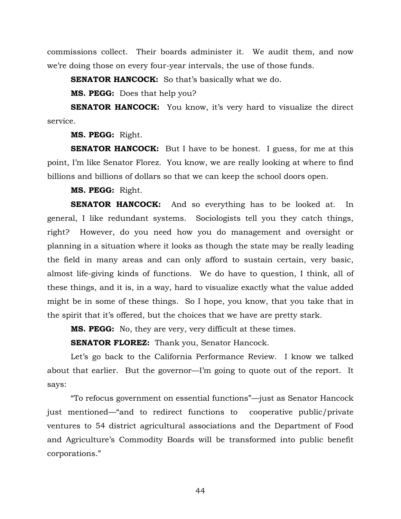commissions collect. Their boards administer it. We audit them, and now we're doing those on every four-year intervals, the use of those funds.

**SENATOR HANCOCK:** So that's basically what we do.

**MS. PEGG:** Does that help you?

**SENATOR HANCOCK:** You know, it's very hard to visualize the direct service.

**MS. PEGG:** Right.

**SENATOR HANCOCK:** But I have to be honest. I guess, for me at this point, I'm like Senator Florez. You know, we are really looking at where to find billions and billions of dollars so that we can keep the school doors open.

**MS. PEGG:** Right.

**SENATOR HANCOCK:** And so everything has to be looked at. In general, I like redundant systems. Sociologists tell you they catch things, right? However, do you need how you do management and oversight or planning in a situation where it looks as though the state may be really leading the field in many areas and can only afford to sustain certain, very basic, almost life-giving kinds of functions. We do have to question, I think, all of these things, and it is, in a way, hard to visualize exactly what the value added might be in some of these things. So I hope, you know, that you take that in the spirit that it's offered, but the choices that we have are pretty stark.

**MS. PEGG:** No, they are very, very difficult at these times.

**SENATOR FLOREZ:** Thank you, Senator Hancock.

 Let's go back to the California Performance Review. I know we talked about that earlier. But the governor—I'm going to quote out of the report. It says:

"To refocus government on essential functions"—just as Senator Hancock just mentioned—"and to redirect functions to cooperative public/private ventures to 54 district agricultural associations and the Department of Food and Agriculture's Commodity Boards will be transformed into public benefit corporations."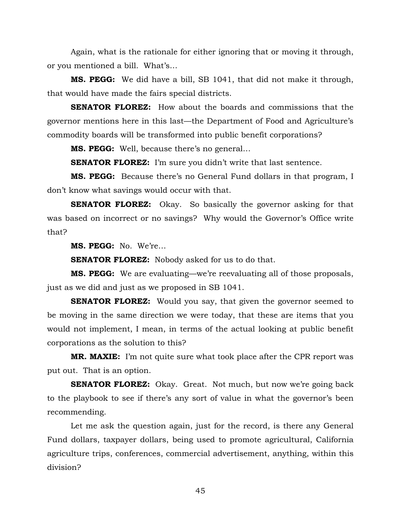Again, what is the rationale for either ignoring that or moving it through, or you mentioned a bill. What's…

**MS. PEGG:** We did have a bill, SB 1041, that did not make it through, that would have made the fairs special districts.

**SENATOR FLOREZ:** How about the boards and commissions that the governor mentions here in this last—the Department of Food and Agriculture's commodity boards will be transformed into public benefit corporations?

**MS. PEGG:** Well, because there's no general…

**SENATOR FLOREZ:** I'm sure you didn't write that last sentence.

**MS. PEGG:** Because there's no General Fund dollars in that program, I don't know what savings would occur with that.

**SENATOR FLOREZ:** Okay. So basically the governor asking for that was based on incorrect or no savings? Why would the Governor's Office write that?

**MS. PEGG:** No. We're…

**SENATOR FLOREZ:** Nobody asked for us to do that.

**MS. PEGG:** We are evaluating—we're reevaluating all of those proposals, just as we did and just as we proposed in SB 1041.

**SENATOR FLOREZ:** Would you say, that given the governor seemed to be moving in the same direction we were today, that these are items that you would not implement, I mean, in terms of the actual looking at public benefit corporations as the solution to this?

**MR. MAXIE:** I'm not quite sure what took place after the CPR report was put out. That is an option.

**SENATOR FLOREZ:** Okay. Great. Not much, but now we're going back to the playbook to see if there's any sort of value in what the governor's been recommending.

 Let me ask the question again, just for the record, is there any General Fund dollars, taxpayer dollars, being used to promote agricultural, California agriculture trips, conferences, commercial advertisement, anything, within this division?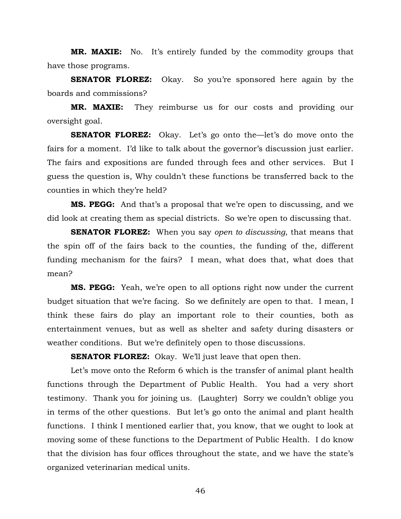**MR. MAXIE:** No. It's entirely funded by the commodity groups that have those programs.

**SENATOR FLOREZ:** Okay. So you're sponsored here again by the boards and commissions?

**MR. MAXIE:** They reimburse us for our costs and providing our oversight goal.

**SENATOR FLOREZ:** Okay. Let's go onto the—let's do move onto the fairs for a moment. I'd like to talk about the governor's discussion just earlier. The fairs and expositions are funded through fees and other services. But I guess the question is, Why couldn't these functions be transferred back to the counties in which they're held?

**MS. PEGG:** And that's a proposal that we're open to discussing, and we did look at creating them as special districts. So we're open to discussing that.

**SENATOR FLOREZ:** When you say *open to discussing*, that means that the spin off of the fairs back to the counties, the funding of the, different funding mechanism for the fairs? I mean, what does that, what does that mean?

**MS. PEGG:** Yeah, we're open to all options right now under the current budget situation that we're facing. So we definitely are open to that. I mean, I think these fairs do play an important role to their counties, both as entertainment venues, but as well as shelter and safety during disasters or weather conditions. But we're definitely open to those discussions.

**SENATOR FLOREZ:** Okay. We'll just leave that open then.

 Let's move onto the Reform 6 which is the transfer of animal plant health functions through the Department of Public Health. You had a very short testimony. Thank you for joining us. (Laughter) Sorry we couldn't oblige you in terms of the other questions. But let's go onto the animal and plant health functions. I think I mentioned earlier that, you know, that we ought to look at moving some of these functions to the Department of Public Health. I do know that the division has four offices throughout the state, and we have the state's organized veterinarian medical units.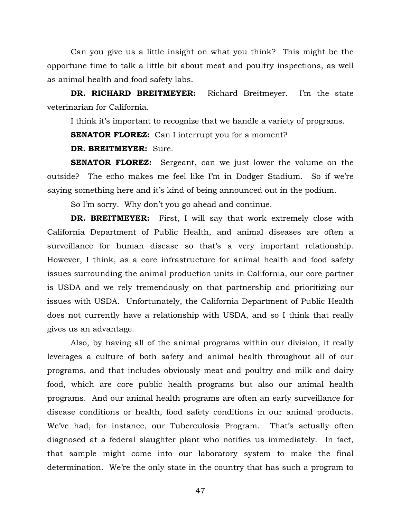Can you give us a little insight on what you think? This might be the opportune time to talk a little bit about meat and poultry inspections, as well as animal health and food safety labs.

**DR. RICHARD BREITMEYER:** Richard Breitmeyer. I'm the state veterinarian for California.

I think it's important to recognize that we handle a variety of programs.

**SENATOR FLOREZ:** Can I interrupt you for a moment?

**DR. BREITMEYER:** Sure.

**SENATOR FLOREZ:** Sergeant, can we just lower the volume on the outside? The echo makes me feel like I'm in Dodger Stadium. So if we're saying something here and it's kind of being announced out in the podium.

So I'm sorry. Why don't you go ahead and continue.

**DR. BREITMEYER:** First, I will say that work extremely close with California Department of Public Health, and animal diseases are often a surveillance for human disease so that's a very important relationship. However, I think, as a core infrastructure for animal health and food safety issues surrounding the animal production units in California, our core partner is USDA and we rely tremendously on that partnership and prioritizing our issues with USDA. Unfortunately, the California Department of Public Health does not currently have a relationship with USDA, and so I think that really gives us an advantage.

 Also, by having all of the animal programs within our division, it really leverages a culture of both safety and animal health throughout all of our programs, and that includes obviously meat and poultry and milk and dairy food, which are core public health programs but also our animal health programs. And our animal health programs are often an early surveillance for disease conditions or health, food safety conditions in our animal products. We've had, for instance, our Tuberculosis Program. That's actually often diagnosed at a federal slaughter plant who notifies us immediately. In fact, that sample might come into our laboratory system to make the final determination. We're the only state in the country that has such a program to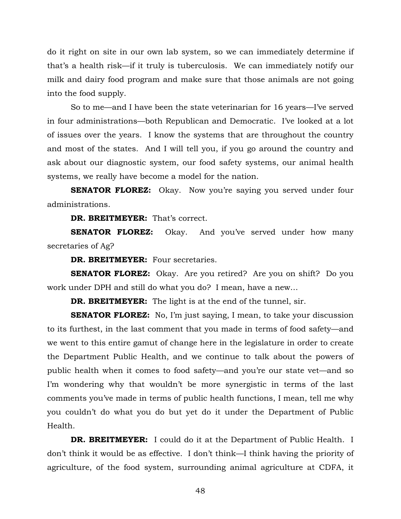do it right on site in our own lab system, so we can immediately determine if that's a health risk—if it truly is tuberculosis. We can immediately notify our milk and dairy food program and make sure that those animals are not going into the food supply.

 So to me—and I have been the state veterinarian for 16 years—I've served in four administrations—both Republican and Democratic. I've looked at a lot of issues over the years. I know the systems that are throughout the country and most of the states. And I will tell you, if you go around the country and ask about our diagnostic system, our food safety systems, our animal health systems, we really have become a model for the nation.

**SENATOR FLOREZ:** Okay. Now you're saying you served under four administrations.

**DR. BREITMEYER:** That's correct.

**SENATOR FLOREZ:** Okay. And you've served under how many secretaries of Ag?

**DR. BREITMEYER:** Four secretaries.

**SENATOR FLOREZ:** Okay. Are you retired? Are you on shift? Do you work under DPH and still do what you do? I mean, have a new…

**DR. BREITMEYER:** The light is at the end of the tunnel, sir.

**SENATOR FLOREZ:** No, I'm just saying, I mean, to take your discussion to its furthest, in the last comment that you made in terms of food safety—and we went to this entire gamut of change here in the legislature in order to create the Department Public Health, and we continue to talk about the powers of public health when it comes to food safety—and you're our state vet—and so I'm wondering why that wouldn't be more synergistic in terms of the last comments you've made in terms of public health functions, I mean, tell me why you couldn't do what you do but yet do it under the Department of Public Health.

**DR. BREITMEYER:** I could do it at the Department of Public Health. I don't think it would be as effective. I don't think—I think having the priority of agriculture, of the food system, surrounding animal agriculture at CDFA, it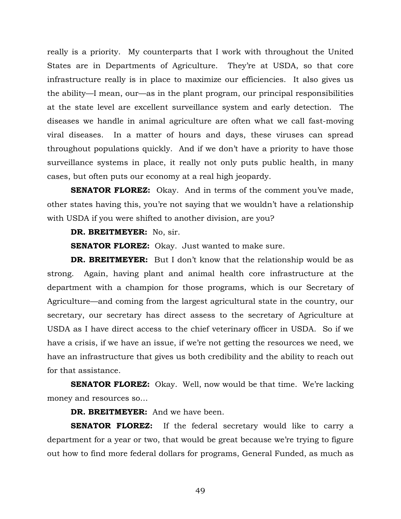really is a priority. My counterparts that I work with throughout the United States are in Departments of Agriculture. They're at USDA, so that core infrastructure really is in place to maximize our efficiencies. It also gives us the ability—I mean, our—as in the plant program, our principal responsibilities at the state level are excellent surveillance system and early detection. The diseases we handle in animal agriculture are often what we call fast-moving viral diseases. In a matter of hours and days, these viruses can spread throughout populations quickly. And if we don't have a priority to have those surveillance systems in place, it really not only puts public health, in many cases, but often puts our economy at a real high jeopardy.

**SENATOR FLOREZ:** Okay. And in terms of the comment you've made, other states having this, you're not saying that we wouldn't have a relationship with USDA if you were shifted to another division, are you?

## **DR. BREITMEYER:** No, sir.

**SENATOR FLOREZ:** Okay. Just wanted to make sure.

**DR. BREITMEYER:** But I don't know that the relationship would be as strong. Again, having plant and animal health core infrastructure at the department with a champion for those programs, which is our Secretary of Agriculture—and coming from the largest agricultural state in the country, our secretary, our secretary has direct assess to the secretary of Agriculture at USDA as I have direct access to the chief veterinary officer in USDA. So if we have a crisis, if we have an issue, if we're not getting the resources we need, we have an infrastructure that gives us both credibility and the ability to reach out for that assistance.

**SENATOR FLOREZ:** Okay. Well, now would be that time. We're lacking money and resources so…

## **DR. BREITMEYER:** And we have been.

**SENATOR FLOREZ:** If the federal secretary would like to carry a department for a year or two, that would be great because we're trying to figure out how to find more federal dollars for programs, General Funded, as much as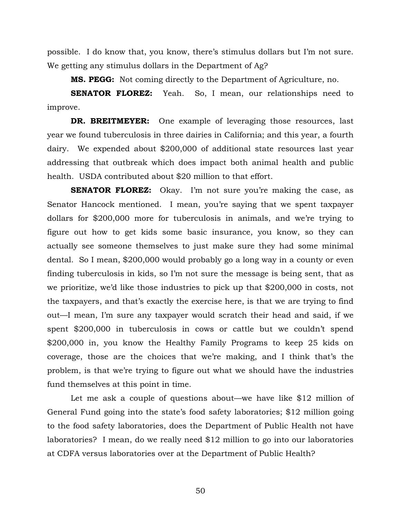possible. I do know that, you know, there's stimulus dollars but I'm not sure. We getting any stimulus dollars in the Department of Ag?

**MS. PEGG:** Not coming directly to the Department of Agriculture, no.

**SENATOR FLOREZ:** Yeah. So, I mean, our relationships need to improve.

**DR. BREITMEYER:** One example of leveraging those resources, last year we found tuberculosis in three dairies in California; and this year, a fourth dairy. We expended about \$200,000 of additional state resources last year addressing that outbreak which does impact both animal health and public health. USDA contributed about \$20 million to that effort.

**SENATOR FLOREZ:** Okay. I'm not sure you're making the case, as Senator Hancock mentioned. I mean, you're saying that we spent taxpayer dollars for \$200,000 more for tuberculosis in animals, and we're trying to figure out how to get kids some basic insurance, you know, so they can actually see someone themselves to just make sure they had some minimal dental. So I mean, \$200,000 would probably go a long way in a county or even finding tuberculosis in kids, so I'm not sure the message is being sent, that as we prioritize, we'd like those industries to pick up that \$200,000 in costs, not the taxpayers, and that's exactly the exercise here, is that we are trying to find out—I mean, I'm sure any taxpayer would scratch their head and said, if we spent \$200,000 in tuberculosis in cows or cattle but we couldn't spend \$200,000 in, you know the Healthy Family Programs to keep 25 kids on coverage, those are the choices that we're making, and I think that's the problem, is that we're trying to figure out what we should have the industries fund themselves at this point in time.

 Let me ask a couple of questions about—we have like \$12 million of General Fund going into the state's food safety laboratories; \$12 million going to the food safety laboratories, does the Department of Public Health not have laboratories? I mean, do we really need \$12 million to go into our laboratories at CDFA versus laboratories over at the Department of Public Health?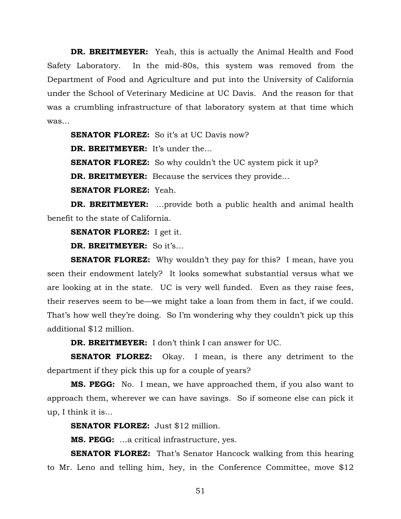**DR. BREITMEYER:** Yeah, this is actually the Animal Health and Food Safety Laboratory. In the mid-80s, this system was removed from the Department of Food and Agriculture and put into the University of California under the School of Veterinary Medicine at UC Davis. And the reason for that was a crumbling infrastructure of that laboratory system at that time which was…

**SENATOR FLOREZ:** So it's at UC Davis now?

**DR. BREITMEYER:** It's under the…

**SENATOR FLOREZ:** So why couldn't the UC system pick it up?

**DR. BREITMEYER:** Because the services they provide...

**SENATOR FLOREZ:** Yeah.

**DR. BREITMEYER:** …provide both a public health and animal health benefit to the state of California.

**SENATOR FLOREZ:** I get it.

**DR. BREITMEYER:** So it's…

**SENATOR FLOREZ:** Why wouldn't they pay for this? I mean, have you seen their endowment lately? It looks somewhat substantial versus what we are looking at in the state. UC is very well funded. Even as they raise fees, their reserves seem to be—we might take a loan from them in fact, if we could. That's how well they're doing. So I'm wondering why they couldn't pick up this additional \$12 million.

**DR. BREITMEYER:** I don't think I can answer for UC.

**SENATOR FLOREZ:** Okay. I mean, is there any detriment to the department if they pick this up for a couple of years?

**MS. PEGG:** No. I mean, we have approached them, if you also want to approach them, wherever we can have savings. So if someone else can pick it up, I think it is…

**SENATOR FLOREZ:** Just \$12 million.

**MS. PEGG:** …a critical infrastructure, yes.

**SENATOR FLOREZ:** That's Senator Hancock walking from this hearing to Mr. Leno and telling him, hey, in the Conference Committee, move \$12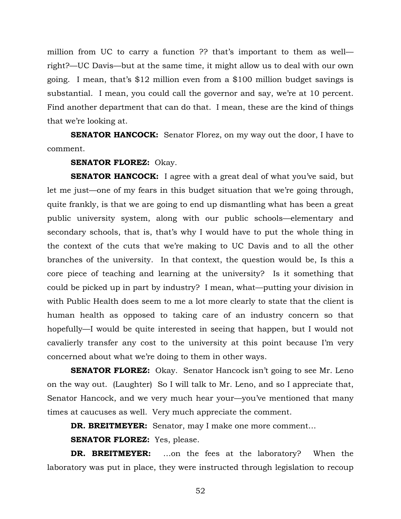million from UC to carry a function ?? that's important to them as well right?—UC Davis—but at the same time, it might allow us to deal with our own going. I mean, that's \$12 million even from a \$100 million budget savings is substantial. I mean, you could call the governor and say, we're at 10 percent. Find another department that can do that. I mean, these are the kind of things that we're looking at.

**SENATOR HANCOCK:** Senator Florez, on my way out the door, I have to comment.

## **SENATOR FLOREZ:** Okay.

**SENATOR HANCOCK:** I agree with a great deal of what you've said, but let me just—one of my fears in this budget situation that we're going through, quite frankly, is that we are going to end up dismantling what has been a great public university system, along with our public schools—elementary and secondary schools, that is, that's why I would have to put the whole thing in the context of the cuts that we're making to UC Davis and to all the other branches of the university. In that context, the question would be, Is this a core piece of teaching and learning at the university? Is it something that could be picked up in part by industry? I mean, what—putting your division in with Public Health does seem to me a lot more clearly to state that the client is human health as opposed to taking care of an industry concern so that hopefully—I would be quite interested in seeing that happen, but I would not cavalierly transfer any cost to the university at this point because I'm very concerned about what we're doing to them in other ways.

**SENATOR FLOREZ:** Okay. Senator Hancock isn't going to see Mr. Leno on the way out. (Laughter) So I will talk to Mr. Leno, and so I appreciate that, Senator Hancock, and we very much hear your—you've mentioned that many times at caucuses as well. Very much appreciate the comment.

**DR. BREITMEYER:** Senator, may I make one more comment…

**SENATOR FLOREZ:** Yes, please.

**DR. BREITMEYER:** …on the fees at the laboratory? When the laboratory was put in place, they were instructed through legislation to recoup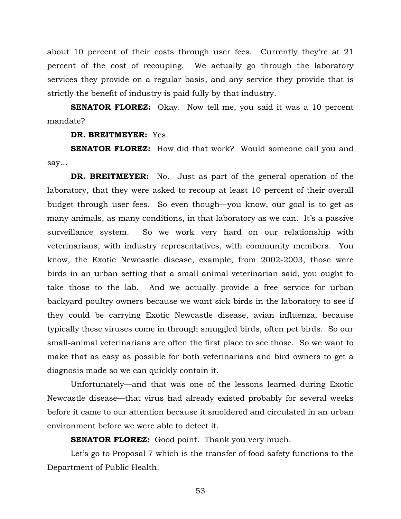about 10 percent of their costs through user fees. Currently they're at 21 percent of the cost of recouping. We actually go through the laboratory services they provide on a regular basis, and any service they provide that is strictly the benefit of industry is paid fully by that industry.

**SENATOR FLOREZ:** Okay. Now tell me, you said it was a 10 percent mandate?

**DR. BREITMEYER:** Yes.

**SENATOR FLOREZ:** How did that work? Would someone call you and say…

**DR. BREITMEYER:** No. Just as part of the general operation of the laboratory, that they were asked to recoup at least 10 percent of their overall budget through user fees. So even though—you know, our goal is to get as many animals, as many conditions, in that laboratory as we can. It's a passive surveillance system. So we work very hard on our relationship with veterinarians, with industry representatives, with community members. You know, the Exotic Newcastle disease, example, from 2002-2003, those were birds in an urban setting that a small animal veterinarian said, you ought to take those to the lab. And we actually provide a free service for urban backyard poultry owners because we want sick birds in the laboratory to see if they could be carrying Exotic Newcastle disease, avian influenza, because typically these viruses come in through smuggled birds, often pet birds. So our small-animal veterinarians are often the first place to see those. So we want to make that as easy as possible for both veterinarians and bird owners to get a diagnosis made so we can quickly contain it.

 Unfortunately—and that was one of the lessons learned during Exotic Newcastle disease—that virus had already existed probably for several weeks before it came to our attention because it smoldered and circulated in an urban environment before we were able to detect it.

**SENATOR FLOREZ:** Good point. Thank you very much.

 Let's go to Proposal 7 which is the transfer of food safety functions to the Department of Public Health.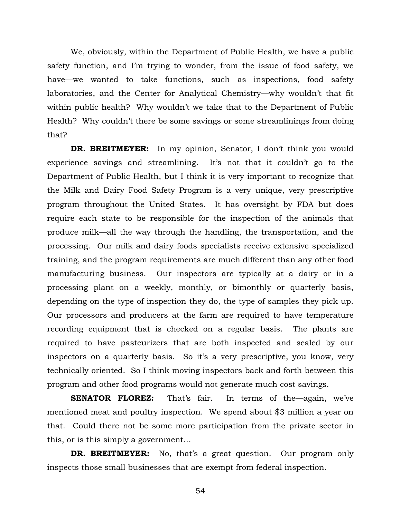We, obviously, within the Department of Public Health, we have a public safety function, and I'm trying to wonder, from the issue of food safety, we have—we wanted to take functions, such as inspections, food safety laboratories, and the Center for Analytical Chemistry—why wouldn't that fit within public health? Why wouldn't we take that to the Department of Public Health? Why couldn't there be some savings or some streamlinings from doing that?

**DR. BREITMEYER:** In my opinion, Senator, I don't think you would experience savings and streamlining. It's not that it couldn't go to the Department of Public Health, but I think it is very important to recognize that the Milk and Dairy Food Safety Program is a very unique, very prescriptive program throughout the United States. It has oversight by FDA but does require each state to be responsible for the inspection of the animals that produce milk—all the way through the handling, the transportation, and the processing. Our milk and dairy foods specialists receive extensive specialized training, and the program requirements are much different than any other food manufacturing business. Our inspectors are typically at a dairy or in a processing plant on a weekly, monthly, or bimonthly or quarterly basis, depending on the type of inspection they do, the type of samples they pick up. Our processors and producers at the farm are required to have temperature recording equipment that is checked on a regular basis. The plants are required to have pasteurizers that are both inspected and sealed by our inspectors on a quarterly basis. So it's a very prescriptive, you know, very technically oriented. So I think moving inspectors back and forth between this program and other food programs would not generate much cost savings.

**SENATOR FLOREZ:** That's fair. In terms of the again, we've mentioned meat and poultry inspection. We spend about \$3 million a year on that. Could there not be some more participation from the private sector in this, or is this simply a government…

**DR. BREITMEYER:** No, that's a great question. Our program only inspects those small businesses that are exempt from federal inspection.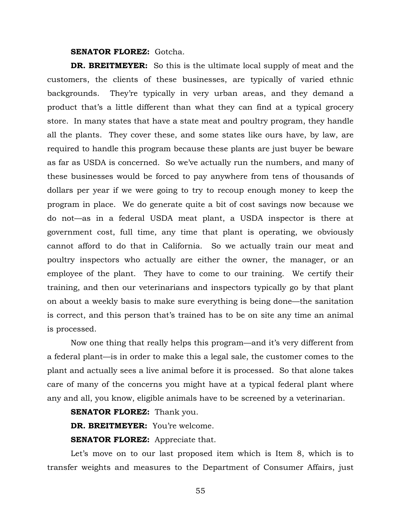**SENATOR FLOREZ: Gotcha.** 

**DR. BREITMEYER:** So this is the ultimate local supply of meat and the customers, the clients of these businesses, are typically of varied ethnic backgrounds. They're typically in very urban areas, and they demand a product that's a little different than what they can find at a typical grocery store. In many states that have a state meat and poultry program, they handle all the plants. They cover these, and some states like ours have, by law, are required to handle this program because these plants are just buyer be beware as far as USDA is concerned. So we've actually run the numbers, and many of these businesses would be forced to pay anywhere from tens of thousands of dollars per year if we were going to try to recoup enough money to keep the program in place. We do generate quite a bit of cost savings now because we do not—as in a federal USDA meat plant, a USDA inspector is there at government cost, full time, any time that plant is operating, we obviously cannot afford to do that in California. So we actually train our meat and poultry inspectors who actually are either the owner, the manager, or an employee of the plant. They have to come to our training. We certify their training, and then our veterinarians and inspectors typically go by that plant on about a weekly basis to make sure everything is being done—the sanitation is correct, and this person that's trained has to be on site any time an animal is processed.

Now one thing that really helps this program—and it's very different from a federal plant—is in order to make this a legal sale, the customer comes to the plant and actually sees a live animal before it is processed. So that alone takes care of many of the concerns you might have at a typical federal plant where any and all, you know, eligible animals have to be screened by a veterinarian.

**SENATOR FLOREZ:** Thank you.

**DR. BREITMEYER:** You're welcome.

**SENATOR FLOREZ:** Appreciate that.

Let's move on to our last proposed item which is Item 8, which is to transfer weights and measures to the Department of Consumer Affairs, just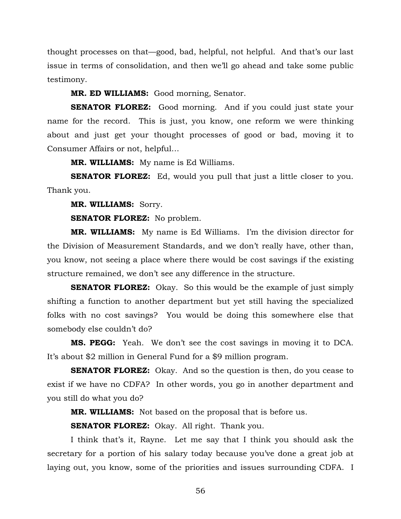thought processes on that—good, bad, helpful, not helpful. And that's our last issue in terms of consolidation, and then we'll go ahead and take some public testimony.

**MR. ED WILLIAMS:** Good morning, Senator.

**SENATOR FLOREZ:** Good morning. And if you could just state your name for the record. This is just, you know, one reform we were thinking about and just get your thought processes of good or bad, moving it to Consumer Affairs or not, helpful…

**MR. WILLIAMS:** My name is Ed Williams.

**SENATOR FLOREZ:** Ed, would you pull that just a little closer to you. Thank you.

**MR. WILLIAMS:** Sorry.

**SENATOR FLOREZ:** No problem.

**MR. WILLIAMS:** My name is Ed Williams. I'm the division director for the Division of Measurement Standards, and we don't really have, other than, you know, not seeing a place where there would be cost savings if the existing structure remained, we don't see any difference in the structure.

**SENATOR FLOREZ:** Okay. So this would be the example of just simply shifting a function to another department but yet still having the specialized folks with no cost savings? You would be doing this somewhere else that somebody else couldn't do?

**MS. PEGG:** Yeah. We don't see the cost savings in moving it to DCA. It's about \$2 million in General Fund for a \$9 million program.

**SENATOR FLOREZ:** Okay. And so the question is then, do you cease to exist if we have no CDFA? In other words, you go in another department and you still do what you do?

**MR. WILLIAMS:** Not based on the proposal that is before us.

**SENATOR FLOREZ:** Okay. All right. Thank you.

I think that's it, Rayne. Let me say that I think you should ask the secretary for a portion of his salary today because you've done a great job at laying out, you know, some of the priorities and issues surrounding CDFA. I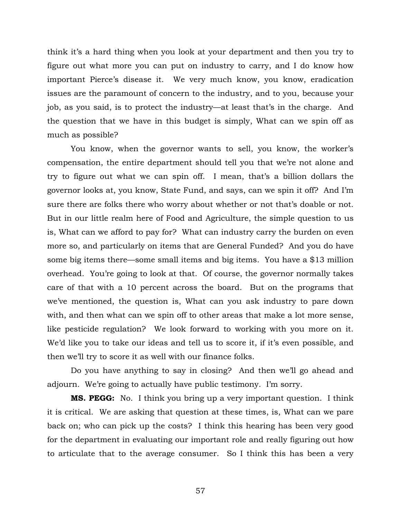think it's a hard thing when you look at your department and then you try to figure out what more you can put on industry to carry, and I do know how important Pierce's disease it. We very much know, you know, eradication issues are the paramount of concern to the industry, and to you, because your job, as you said, is to protect the industry—at least that's in the charge. And the question that we have in this budget is simply, What can we spin off as much as possible?

You know, when the governor wants to sell, you know, the worker's compensation, the entire department should tell you that we're not alone and try to figure out what we can spin off. I mean, that's a billion dollars the governor looks at, you know, State Fund, and says, can we spin it off? And I'm sure there are folks there who worry about whether or not that's doable or not. But in our little realm here of Food and Agriculture, the simple question to us is, What can we afford to pay for? What can industry carry the burden on even more so, and particularly on items that are General Funded? And you do have some big items there—some small items and big items. You have a \$13 million overhead. You're going to look at that. Of course, the governor normally takes care of that with a 10 percent across the board. But on the programs that we've mentioned, the question is, What can you ask industry to pare down with, and then what can we spin off to other areas that make a lot more sense, like pesticide regulation? We look forward to working with you more on it. We'd like you to take our ideas and tell us to score it, if it's even possible, and then we'll try to score it as well with our finance folks.

Do you have anything to say in closing? And then we'll go ahead and adjourn. We're going to actually have public testimony. I'm sorry.

**MS. PEGG:** No. I think you bring up a very important question. I think it is critical. We are asking that question at these times, is, What can we pare back on; who can pick up the costs? I think this hearing has been very good for the department in evaluating our important role and really figuring out how to articulate that to the average consumer. So I think this has been a very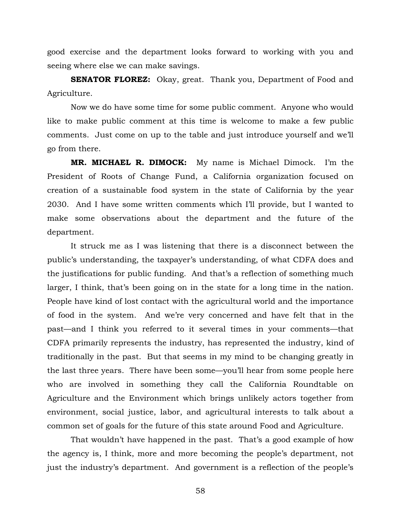good exercise and the department looks forward to working with you and seeing where else we can make savings.

**SENATOR FLOREZ:** Okay, great. Thank you, Department of Food and Agriculture.

 Now we do have some time for some public comment. Anyone who would like to make public comment at this time is welcome to make a few public comments. Just come on up to the table and just introduce yourself and we'll go from there.

**MR. MICHAEL R. DIMOCK:** My name is Michael Dimock. I'm the President of Roots of Change Fund, a California organization focused on creation of a sustainable food system in the state of California by the year 2030. And I have some written comments which I'll provide, but I wanted to make some observations about the department and the future of the department.

 It struck me as I was listening that there is a disconnect between the public's understanding, the taxpayer's understanding, of what CDFA does and the justifications for public funding. And that's a reflection of something much larger, I think, that's been going on in the state for a long time in the nation. People have kind of lost contact with the agricultural world and the importance of food in the system. And we're very concerned and have felt that in the past—and I think you referred to it several times in your comments—that CDFA primarily represents the industry, has represented the industry, kind of traditionally in the past. But that seems in my mind to be changing greatly in the last three years. There have been some—you'll hear from some people here who are involved in something they call the California Roundtable on Agriculture and the Environment which brings unlikely actors together from environment, social justice, labor, and agricultural interests to talk about a common set of goals for the future of this state around Food and Agriculture.

 That wouldn't have happened in the past. That's a good example of how the agency is, I think, more and more becoming the people's department, not just the industry's department. And government is a reflection of the people's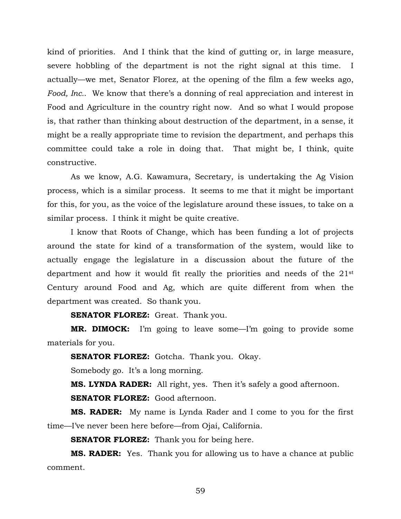kind of priorities. And I think that the kind of gutting or, in large measure, severe hobbling of the department is not the right signal at this time. I actually—we met, Senator Florez, at the opening of the film a few weeks ago, *Food, Inc.*. We know that there's a donning of real appreciation and interest in Food and Agriculture in the country right now. And so what I would propose is, that rather than thinking about destruction of the department, in a sense, it might be a really appropriate time to revision the department, and perhaps this committee could take a role in doing that. That might be, I think, quite constructive.

As we know, A.G. Kawamura, Secretary, is undertaking the Ag Vision process, which is a similar process. It seems to me that it might be important for this, for you, as the voice of the legislature around these issues, to take on a similar process. I think it might be quite creative.

 I know that Roots of Change, which has been funding a lot of projects around the state for kind of a transformation of the system, would like to actually engage the legislature in a discussion about the future of the department and how it would fit really the priorities and needs of the 21st Century around Food and Ag, which are quite different from when the department was created. So thank you.

**SENATOR FLOREZ:** Great. Thank you.

**MR. DIMOCK:** I'm going to leave some—I'm going to provide some materials for you.

**SENATOR FLOREZ:** Gotcha. Thank you. Okay.

Somebody go. It's a long morning.

**MS. LYNDA RADER:** All right, yes. Then it's safely a good afternoon.

**SENATOR FLOREZ:** Good afternoon.

**MS. RADER:** My name is Lynda Rader and I come to you for the first time—I've never been here before—from Ojai, California.

**SENATOR FLOREZ:** Thank you for being here.

**MS. RADER:** Yes. Thank you for allowing us to have a chance at public comment.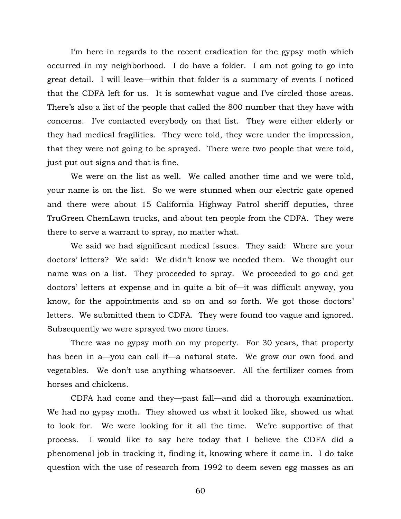I'm here in regards to the recent eradication for the gypsy moth which occurred in my neighborhood. I do have a folder. I am not going to go into great detail. I will leave—within that folder is a summary of events I noticed that the CDFA left for us. It is somewhat vague and I've circled those areas. There's also a list of the people that called the 800 number that they have with concerns. I've contacted everybody on that list. They were either elderly or they had medical fragilities. They were told, they were under the impression, that they were not going to be sprayed. There were two people that were told, just put out signs and that is fine.

 We were on the list as well. We called another time and we were told, your name is on the list. So we were stunned when our electric gate opened and there were about 15 California Highway Patrol sheriff deputies, three TruGreen ChemLawn trucks, and about ten people from the CDFA. They were there to serve a warrant to spray, no matter what.

 We said we had significant medical issues. They said: Where are your doctors' letters? We said: We didn't know we needed them. We thought our name was on a list. They proceeded to spray. We proceeded to go and get doctors' letters at expense and in quite a bit of—it was difficult anyway, you know, for the appointments and so on and so forth. We got those doctors' letters. We submitted them to CDFA. They were found too vague and ignored. Subsequently we were sprayed two more times.

 There was no gypsy moth on my property. For 30 years, that property has been in a—you can call it—a natural state. We grow our own food and vegetables. We don't use anything whatsoever. All the fertilizer comes from horses and chickens.

 CDFA had come and they—past fall—and did a thorough examination. We had no gypsy moth. They showed us what it looked like, showed us what to look for. We were looking for it all the time. We're supportive of that process. I would like to say here today that I believe the CDFA did a phenomenal job in tracking it, finding it, knowing where it came in. I do take question with the use of research from 1992 to deem seven egg masses as an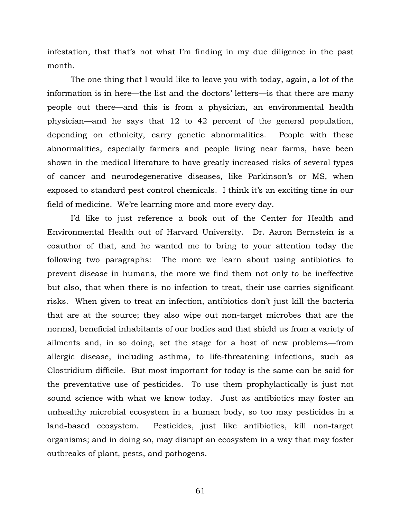infestation, that that's not what I'm finding in my due diligence in the past month.

 The one thing that I would like to leave you with today, again, a lot of the information is in here—the list and the doctors' letters—is that there are many people out there—and this is from a physician, an environmental health physician—and he says that 12 to 42 percent of the general population, depending on ethnicity, carry genetic abnormalities. People with these abnormalities, especially farmers and people living near farms, have been shown in the medical literature to have greatly increased risks of several types of cancer and neurodegenerative diseases, like Parkinson's or MS, when exposed to standard pest control chemicals. I think it's an exciting time in our field of medicine. We're learning more and more every day.

 I'd like to just reference a book out of the Center for Health and Environmental Health out of Harvard University. Dr. Aaron Bernstein is a coauthor of that, and he wanted me to bring to your attention today the following two paragraphs: The more we learn about using antibiotics to prevent disease in humans, the more we find them not only to be ineffective but also, that when there is no infection to treat, their use carries significant risks. When given to treat an infection, antibiotics don't just kill the bacteria that are at the source; they also wipe out non-target microbes that are the normal, beneficial inhabitants of our bodies and that shield us from a variety of ailments and, in so doing, set the stage for a host of new problems—from allergic disease, including asthma, to life-threatening infections, such as Clostridium difficile. But most important for today is the same can be said for the preventative use of pesticides. To use them prophylactically is just not sound science with what we know today. Just as antibiotics may foster an unhealthy microbial ecosystem in a human body, so too may pesticides in a land-based ecosystem. Pesticides, just like antibiotics, kill non-target organisms; and in doing so, may disrupt an ecosystem in a way that may foster outbreaks of plant, pests, and pathogens.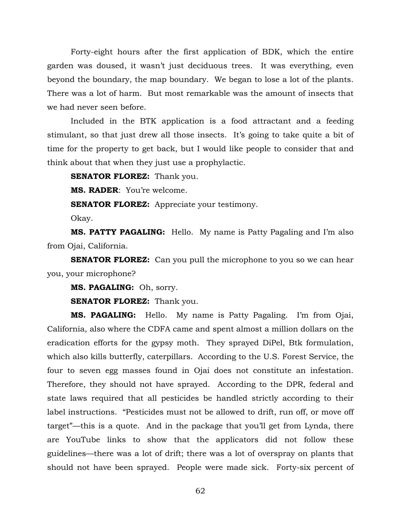Forty-eight hours after the first application of BDK, which the entire garden was doused, it wasn't just deciduous trees. It was everything, even beyond the boundary, the map boundary. We began to lose a lot of the plants. There was a lot of harm. But most remarkable was the amount of insects that we had never seen before.

Included in the BTK application is a food attractant and a feeding stimulant, so that just drew all those insects. It's going to take quite a bit of time for the property to get back, but I would like people to consider that and think about that when they just use a prophylactic.

**SENATOR FLOREZ:** Thank you.

**MS. RADER**: You're welcome.

**SENATOR FLOREZ:** Appreciate your testimony.

Okay.

**MS. PATTY PAGALING:** Hello. My name is Patty Pagaling and I'm also from Ojai, California.

**SENATOR FLOREZ:** Can you pull the microphone to you so we can hear you, your microphone?

**MS. PAGALING:** Oh, sorry.

**SENATOR FLOREZ:** Thank you.

**MS. PAGALING:** Hello. My name is Patty Pagaling. I'm from Ojai, California, also where the CDFA came and spent almost a million dollars on the eradication efforts for the gypsy moth. They sprayed DiPel, Btk formulation, which also kills butterfly, caterpillars. According to the U.S. Forest Service, the four to seven egg masses found in Ojai does not constitute an infestation. Therefore, they should not have sprayed. According to the DPR, federal and state laws required that all pesticides be handled strictly according to their label instructions. "Pesticides must not be allowed to drift, run off, or move off target"—this is a quote. And in the package that you'll get from Lynda, there are YouTube links to show that the applicators did not follow these guidelines—there was a lot of drift; there was a lot of overspray on plants that should not have been sprayed. People were made sick. Forty-six percent of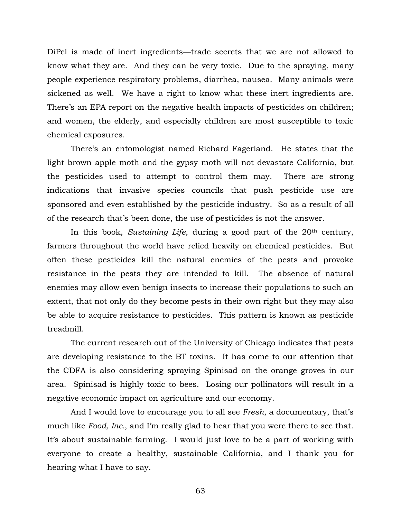DiPel is made of inert ingredients—trade secrets that we are not allowed to know what they are. And they can be very toxic. Due to the spraying, many people experience respiratory problems, diarrhea, nausea. Many animals were sickened as well. We have a right to know what these inert ingredients are. There's an EPA report on the negative health impacts of pesticides on children; and women, the elderly, and especially children are most susceptible to toxic chemical exposures.

There's an entomologist named Richard Fagerland. He states that the light brown apple moth and the gypsy moth will not devastate California, but the pesticides used to attempt to control them may. There are strong indications that invasive species councils that push pesticide use are sponsored and even established by the pesticide industry. So as a result of all of the research that's been done, the use of pesticides is not the answer.

In this book, *Sustaining Life*, during a good part of the 20<sup>th</sup> century, farmers throughout the world have relied heavily on chemical pesticides. But often these pesticides kill the natural enemies of the pests and provoke resistance in the pests they are intended to kill. The absence of natural enemies may allow even benign insects to increase their populations to such an extent, that not only do they become pests in their own right but they may also be able to acquire resistance to pesticides. This pattern is known as pesticide treadmill.

The current research out of the University of Chicago indicates that pests are developing resistance to the BT toxins. It has come to our attention that the CDFA is also considering spraying Spinisad on the orange groves in our area. Spinisad is highly toxic to bees. Losing our pollinators will result in a negative economic impact on agriculture and our economy.

And I would love to encourage you to all see *Fresh*, a documentary, that's much like *Food, Inc.*, and I'm really glad to hear that you were there to see that. It's about sustainable farming. I would just love to be a part of working with everyone to create a healthy, sustainable California, and I thank you for hearing what I have to say.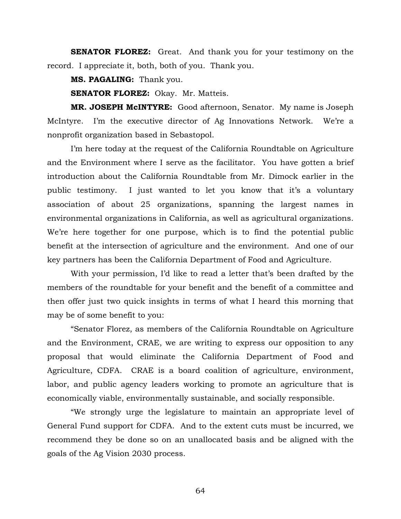**SENATOR FLOREZ:** Great. And thank you for your testimony on the record. I appreciate it, both, both of you. Thank you.

**MS. PAGALING:** Thank you.

**SENATOR FLOREZ:** Okay. Mr. Matteis.

**MR. JOSEPH McINTYRE:** Good afternoon, Senator. My name is Joseph McIntyre. I'm the executive director of Ag Innovations Network. We're a nonprofit organization based in Sebastopol.

I'm here today at the request of the California Roundtable on Agriculture and the Environment where I serve as the facilitator. You have gotten a brief introduction about the California Roundtable from Mr. Dimock earlier in the public testimony. I just wanted to let you know that it's a voluntary association of about 25 organizations, spanning the largest names in environmental organizations in California, as well as agricultural organizations. We're here together for one purpose, which is to find the potential public benefit at the intersection of agriculture and the environment. And one of our key partners has been the California Department of Food and Agriculture.

With your permission, I'd like to read a letter that's been drafted by the members of the roundtable for your benefit and the benefit of a committee and then offer just two quick insights in terms of what I heard this morning that may be of some benefit to you:

 "Senator Florez, as members of the California Roundtable on Agriculture and the Environment, CRAE, we are writing to express our opposition to any proposal that would eliminate the California Department of Food and Agriculture, CDFA. CRAE is a board coalition of agriculture, environment, labor, and public agency leaders working to promote an agriculture that is economically viable, environmentally sustainable, and socially responsible.

"We strongly urge the legislature to maintain an appropriate level of General Fund support for CDFA. And to the extent cuts must be incurred, we recommend they be done so on an unallocated basis and be aligned with the goals of the Ag Vision 2030 process.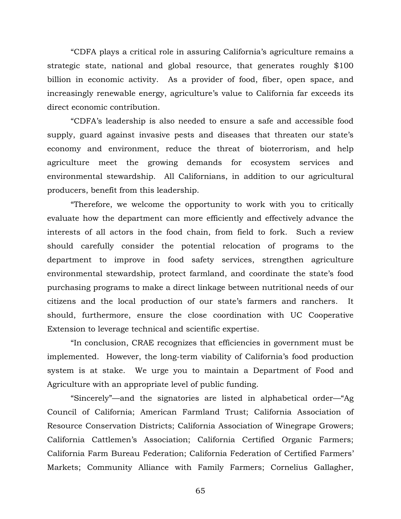"CDFA plays a critical role in assuring California's agriculture remains a strategic state, national and global resource, that generates roughly \$100 billion in economic activity. As a provider of food, fiber, open space, and increasingly renewable energy, agriculture's value to California far exceeds its direct economic contribution.

"CDFA's leadership is also needed to ensure a safe and accessible food supply, guard against invasive pests and diseases that threaten our state's economy and environment, reduce the threat of bioterrorism, and help agriculture meet the growing demands for ecosystem services and environmental stewardship. All Californians, in addition to our agricultural producers, benefit from this leadership.

"Therefore, we welcome the opportunity to work with you to critically evaluate how the department can more efficiently and effectively advance the interests of all actors in the food chain, from field to fork. Such a review should carefully consider the potential relocation of programs to the department to improve in food safety services, strengthen agriculture environmental stewardship, protect farmland, and coordinate the state's food purchasing programs to make a direct linkage between nutritional needs of our citizens and the local production of our state's farmers and ranchers. It should, furthermore, ensure the close coordination with UC Cooperative Extension to leverage technical and scientific expertise.

"In conclusion, CRAE recognizes that efficiencies in government must be implemented. However, the long-term viability of California's food production system is at stake. We urge you to maintain a Department of Food and Agriculture with an appropriate level of public funding.

"Sincerely"—and the signatories are listed in alphabetical order—"Ag Council of California; American Farmland Trust; California Association of Resource Conservation Districts; California Association of Winegrape Growers; California Cattlemen's Association; California Certified Organic Farmers; California Farm Bureau Federation; California Federation of Certified Farmers' Markets; Community Alliance with Family Farmers; Cornelius Gallagher,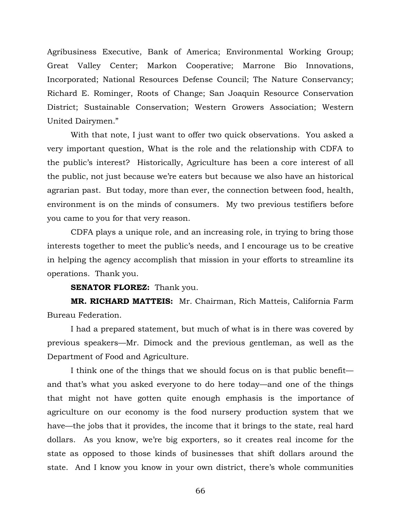Agribusiness Executive, Bank of America; Environmental Working Group; Great Valley Center; Markon Cooperative; Marrone Bio Innovations, Incorporated; National Resources Defense Council; The Nature Conservancy; Richard E. Rominger, Roots of Change; San Joaquin Resource Conservation District; Sustainable Conservation; Western Growers Association; Western United Dairymen."

With that note, I just want to offer two quick observations. You asked a very important question, What is the role and the relationship with CDFA to the public's interest? Historically, Agriculture has been a core interest of all the public, not just because we're eaters but because we also have an historical agrarian past. But today, more than ever, the connection between food, health, environment is on the minds of consumers. My two previous testifiers before you came to you for that very reason.

 CDFA plays a unique role, and an increasing role, in trying to bring those interests together to meet the public's needs, and I encourage us to be creative in helping the agency accomplish that mission in your efforts to streamline its operations. Thank you.

**SENATOR FLOREZ:** Thank you.

**MR. RICHARD MATTEIS:** Mr. Chairman, Rich Matteis, California Farm Bureau Federation.

 I had a prepared statement, but much of what is in there was covered by previous speakers—Mr. Dimock and the previous gentleman, as well as the Department of Food and Agriculture.

 I think one of the things that we should focus on is that public benefit and that's what you asked everyone to do here today—and one of the things that might not have gotten quite enough emphasis is the importance of agriculture on our economy is the food nursery production system that we have—the jobs that it provides, the income that it brings to the state, real hard dollars. As you know, we're big exporters, so it creates real income for the state as opposed to those kinds of businesses that shift dollars around the state. And I know you know in your own district, there's whole communities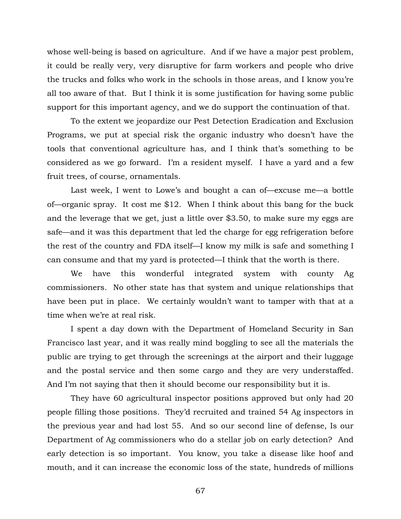whose well-being is based on agriculture. And if we have a major pest problem, it could be really very, very disruptive for farm workers and people who drive the trucks and folks who work in the schools in those areas, and I know you're all too aware of that. But I think it is some justification for having some public support for this important agency, and we do support the continuation of that.

 To the extent we jeopardize our Pest Detection Eradication and Exclusion Programs, we put at special risk the organic industry who doesn't have the tools that conventional agriculture has, and I think that's something to be considered as we go forward. I'm a resident myself. I have a yard and a few fruit trees, of course, ornamentals.

 Last week, I went to Lowe's and bought a can of—excuse me—a bottle of—organic spray. It cost me \$12. When I think about this bang for the buck and the leverage that we get, just a little over \$3.50, to make sure my eggs are safe—and it was this department that led the charge for egg refrigeration before the rest of the country and FDA itself—I know my milk is safe and something I can consume and that my yard is protected—I think that the worth is there.

 We have this wonderful integrated system with county Ag commissioners. No other state has that system and unique relationships that have been put in place. We certainly wouldn't want to tamper with that at a time when we're at real risk.

 I spent a day down with the Department of Homeland Security in San Francisco last year, and it was really mind boggling to see all the materials the public are trying to get through the screenings at the airport and their luggage and the postal service and then some cargo and they are very understaffed. And I'm not saying that then it should become our responsibility but it is.

 They have 60 agricultural inspector positions approved but only had 20 people filling those positions. They'd recruited and trained 54 Ag inspectors in the previous year and had lost 55. And so our second line of defense, Is our Department of Ag commissioners who do a stellar job on early detection? And early detection is so important. You know, you take a disease like hoof and mouth, and it can increase the economic loss of the state, hundreds of millions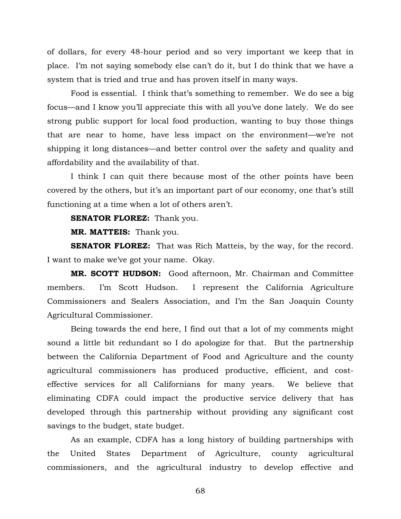of dollars, for every 48-hour period and so very important we keep that in place. I'm not saying somebody else can't do it, but I do think that we have a system that is tried and true and has proven itself in many ways.

 Food is essential. I think that's something to remember. We do see a big focus—and I know you'll appreciate this with all you've done lately. We do see strong public support for local food production, wanting to buy those things that are near to home, have less impact on the environment—we're not shipping it long distances—and better control over the safety and quality and affordability and the availability of that.

 I think I can quit there because most of the other points have been covered by the others, but it's an important part of our economy, one that's still functioning at a time when a lot of others aren't.

**SENATOR FLOREZ:** Thank you.

**MR. MATTEIS:** Thank you.

**SENATOR FLOREZ:** That was Rich Matteis, by the way, for the record. I want to make we've got your name. Okay.

**MR. SCOTT HUDSON:** Good afternoon, Mr. Chairman and Committee members. I'm Scott Hudson. I represent the California Agriculture Commissioners and Sealers Association, and I'm the San Joaquin County Agricultural Commissioner.

 Being towards the end here, I find out that a lot of my comments might sound a little bit redundant so I do apologize for that. But the partnership between the California Department of Food and Agriculture and the county agricultural commissioners has produced productive, efficient, and costeffective services for all Californians for many years. We believe that eliminating CDFA could impact the productive service delivery that has developed through this partnership without providing any significant cost savings to the budget, state budget.

 As an example, CDFA has a long history of building partnerships with the United States Department of Agriculture, county agricultural commissioners, and the agricultural industry to develop effective and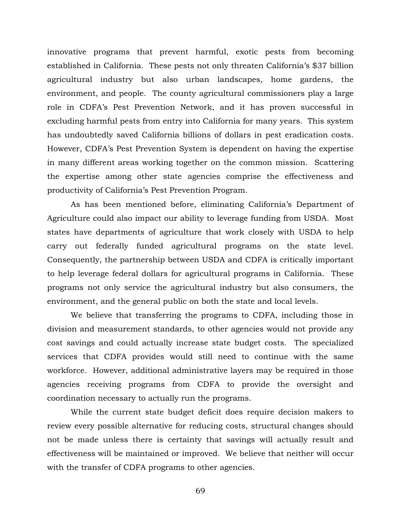innovative programs that prevent harmful, exotic pests from becoming established in California. These pests not only threaten California's \$37 billion agricultural industry but also urban landscapes, home gardens, the environment, and people. The county agricultural commissioners play a large role in CDFA's Pest Prevention Network, and it has proven successful in excluding harmful pests from entry into California for many years. This system has undoubtedly saved California billions of dollars in pest eradication costs. However, CDFA's Pest Prevention System is dependent on having the expertise in many different areas working together on the common mission. Scattering the expertise among other state agencies comprise the effectiveness and productivity of California's Pest Prevention Program.

 As has been mentioned before, eliminating California's Department of Agriculture could also impact our ability to leverage funding from USDA. Most states have departments of agriculture that work closely with USDA to help carry out federally funded agricultural programs on the state level. Consequently, the partnership between USDA and CDFA is critically important to help leverage federal dollars for agricultural programs in California. These programs not only service the agricultural industry but also consumers, the environment, and the general public on both the state and local levels.

 We believe that transferring the programs to CDFA, including those in division and measurement standards, to other agencies would not provide any cost savings and could actually increase state budget costs. The specialized services that CDFA provides would still need to continue with the same workforce. However, additional administrative layers may be required in those agencies receiving programs from CDFA to provide the oversight and coordination necessary to actually run the programs.

 While the current state budget deficit does require decision makers to review every possible alternative for reducing costs, structural changes should not be made unless there is certainty that savings will actually result and effectiveness will be maintained or improved. We believe that neither will occur with the transfer of CDFA programs to other agencies.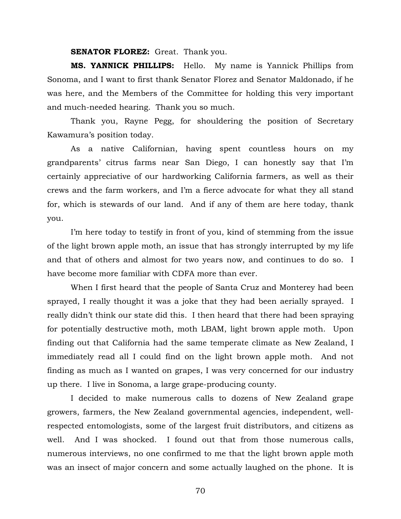**SENATOR FLOREZ:** Great. Thank you.

**MS. YANNICK PHILLIPS:** Hello. My name is Yannick Phillips from Sonoma, and I want to first thank Senator Florez and Senator Maldonado, if he was here, and the Members of the Committee for holding this very important and much-needed hearing. Thank you so much.

 Thank you, Rayne Pegg, for shouldering the position of Secretary Kawamura's position today.

 As a native Californian, having spent countless hours on my grandparents' citrus farms near San Diego, I can honestly say that I'm certainly appreciative of our hardworking California farmers, as well as their crews and the farm workers, and I'm a fierce advocate for what they all stand for, which is stewards of our land. And if any of them are here today, thank you.

 I'm here today to testify in front of you, kind of stemming from the issue of the light brown apple moth, an issue that has strongly interrupted by my life and that of others and almost for two years now, and continues to do so. I have become more familiar with CDFA more than ever.

 When I first heard that the people of Santa Cruz and Monterey had been sprayed, I really thought it was a joke that they had been aerially sprayed. I really didn't think our state did this. I then heard that there had been spraying for potentially destructive moth, moth LBAM, light brown apple moth. Upon finding out that California had the same temperate climate as New Zealand, I immediately read all I could find on the light brown apple moth. And not finding as much as I wanted on grapes, I was very concerned for our industry up there. I live in Sonoma, a large grape-producing county.

 I decided to make numerous calls to dozens of New Zealand grape growers, farmers, the New Zealand governmental agencies, independent, wellrespected entomologists, some of the largest fruit distributors, and citizens as well. And I was shocked. I found out that from those numerous calls, numerous interviews, no one confirmed to me that the light brown apple moth was an insect of major concern and some actually laughed on the phone. It is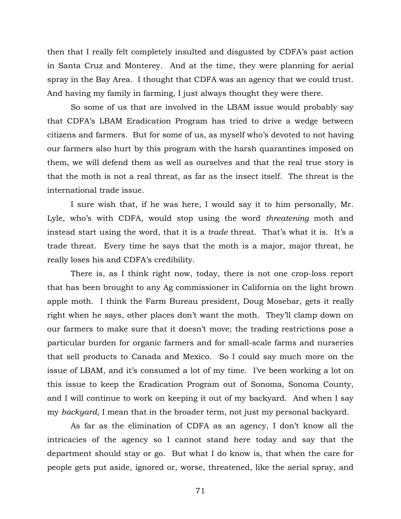then that I really felt completely insulted and disgusted by CDFA's past action in Santa Cruz and Monterey. And at the time, they were planning for aerial spray in the Bay Area. I thought that CDFA was an agency that we could trust. And having my family in farming, I just always thought they were there.

 So some of us that are involved in the LBAM issue would probably say that CDFA's LBAM Eradication Program has tried to drive a wedge between citizens and farmers. But for some of us, as myself who's devoted to not having our farmers also hurt by this program with the harsh quarantines imposed on them, we will defend them as well as ourselves and that the real true story is that the moth is not a real threat, as far as the insect itself. The threat is the international trade issue.

 I sure wish that, if he was here, I would say it to him personally, Mr. Lyle, who's with CDFA, would stop using the word *threatening* moth and instead start using the word, that it is a *trade* threat. That's what it is. It's a trade threat. Every time he says that the moth is a major, major threat, he really loses his and CDFA's credibility.

 There is, as I think right now, today, there is not one crop-loss report that has been brought to any Ag commissioner in California on the light brown apple moth. I think the Farm Bureau president, Doug Mosebar, gets it really right when he says, other places don't want the moth. They'll clamp down on our farmers to make sure that it doesn't move; the trading restrictions pose a particular burden for organic farmers and for small-scale farms and nurseries that sell products to Canada and Mexico. So I could say much more on the issue of LBAM, and it's consumed a lot of my time. I've been working a lot on this issue to keep the Eradication Program out of Sonoma, Sonoma County, and I will continue to work on keeping it out of my backyard. And when I say my *backyard*, I mean that in the broader term, not just my personal backyard.

 As far as the elimination of CDFA as an agency, I don't know all the intricacies of the agency so I cannot stand here today and say that the department should stay or go. But what I do know is, that when the care for people gets put aside, ignored or, worse, threatened, like the aerial spray, and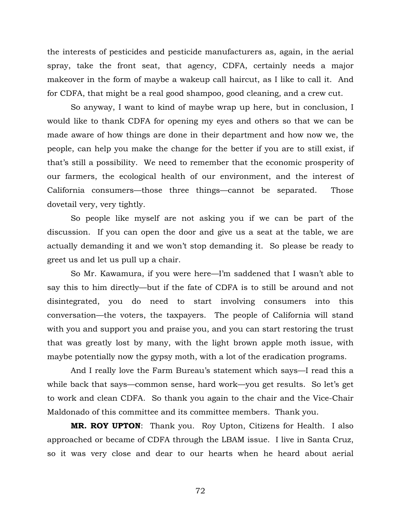the interests of pesticides and pesticide manufacturers as, again, in the aerial spray, take the front seat, that agency, CDFA, certainly needs a major makeover in the form of maybe a wakeup call haircut, as I like to call it. And for CDFA, that might be a real good shampoo, good cleaning, and a crew cut.

 So anyway, I want to kind of maybe wrap up here, but in conclusion, I would like to thank CDFA for opening my eyes and others so that we can be made aware of how things are done in their department and how now we, the people, can help you make the change for the better if you are to still exist, if that's still a possibility. We need to remember that the economic prosperity of our farmers, the ecological health of our environment, and the interest of California consumers—those three things—cannot be separated. Those dovetail very, very tightly.

 So people like myself are not asking you if we can be part of the discussion. If you can open the door and give us a seat at the table, we are actually demanding it and we won't stop demanding it. So please be ready to greet us and let us pull up a chair.

 So Mr. Kawamura, if you were here—I'm saddened that I wasn't able to say this to him directly—but if the fate of CDFA is to still be around and not disintegrated, you do need to start involving consumers into this conversation—the voters, the taxpayers. The people of California will stand with you and support you and praise you, and you can start restoring the trust that was greatly lost by many, with the light brown apple moth issue, with maybe potentially now the gypsy moth, with a lot of the eradication programs.

And I really love the Farm Bureau's statement which says—I read this a while back that says—common sense, hard work—you get results. So let's get to work and clean CDFA. So thank you again to the chair and the Vice-Chair Maldonado of this committee and its committee members. Thank you.

**MR. ROY UPTON**: Thank you. Roy Upton, Citizens for Health. I also approached or became of CDFA through the LBAM issue. I live in Santa Cruz, so it was very close and dear to our hearts when he heard about aerial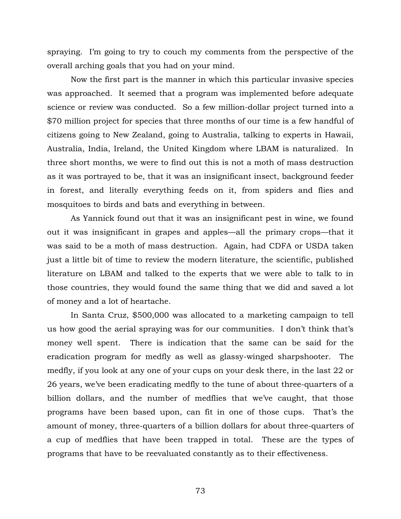spraying. I'm going to try to couch my comments from the perspective of the overall arching goals that you had on your mind.

Now the first part is the manner in which this particular invasive species was approached. It seemed that a program was implemented before adequate science or review was conducted. So a few million-dollar project turned into a \$70 million project for species that three months of our time is a few handful of citizens going to New Zealand, going to Australia, talking to experts in Hawaii, Australia, India, Ireland, the United Kingdom where LBAM is naturalized. In three short months, we were to find out this is not a moth of mass destruction as it was portrayed to be, that it was an insignificant insect, background feeder in forest, and literally everything feeds on it, from spiders and flies and mosquitoes to birds and bats and everything in between.

As Yannick found out that it was an insignificant pest in wine, we found out it was insignificant in grapes and apples—all the primary crops—that it was said to be a moth of mass destruction. Again, had CDFA or USDA taken just a little bit of time to review the modern literature, the scientific, published literature on LBAM and talked to the experts that we were able to talk to in those countries, they would found the same thing that we did and saved a lot of money and a lot of heartache.

In Santa Cruz, \$500,000 was allocated to a marketing campaign to tell us how good the aerial spraying was for our communities. I don't think that's money well spent. There is indication that the same can be said for the eradication program for medfly as well as glassy-winged sharpshooter. The medfly, if you look at any one of your cups on your desk there, in the last 22 or 26 years, we've been eradicating medfly to the tune of about three-quarters of a billion dollars, and the number of medflies that we've caught, that those programs have been based upon, can fit in one of those cups. That's the amount of money, three-quarters of a billion dollars for about three-quarters of a cup of medflies that have been trapped in total. These are the types of programs that have to be reevaluated constantly as to their effectiveness.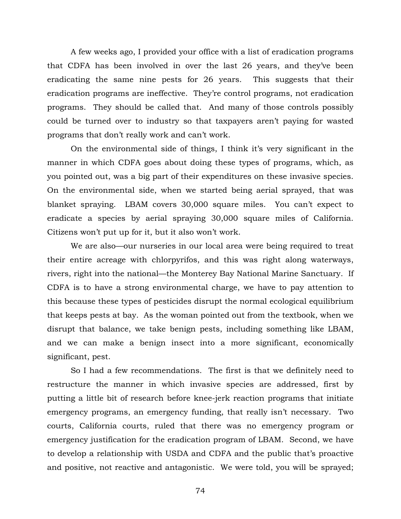A few weeks ago, I provided your office with a list of eradication programs that CDFA has been involved in over the last 26 years, and they've been eradicating the same nine pests for 26 years. This suggests that their eradication programs are ineffective. They're control programs, not eradication programs. They should be called that. And many of those controls possibly could be turned over to industry so that taxpayers aren't paying for wasted programs that don't really work and can't work.

On the environmental side of things, I think it's very significant in the manner in which CDFA goes about doing these types of programs, which, as you pointed out, was a big part of their expenditures on these invasive species. On the environmental side, when we started being aerial sprayed, that was blanket spraying. LBAM covers 30,000 square miles. You can't expect to eradicate a species by aerial spraying 30,000 square miles of California. Citizens won't put up for it, but it also won't work.

 We are also—our nurseries in our local area were being required to treat their entire acreage with chlorpyrifos, and this was right along waterways, rivers, right into the national—the Monterey Bay National Marine Sanctuary. If CDFA is to have a strong environmental charge, we have to pay attention to this because these types of pesticides disrupt the normal ecological equilibrium that keeps pests at bay. As the woman pointed out from the textbook, when we disrupt that balance, we take benign pests, including something like LBAM, and we can make a benign insect into a more significant, economically significant, pest.

 So I had a few recommendations. The first is that we definitely need to restructure the manner in which invasive species are addressed, first by putting a little bit of research before knee-jerk reaction programs that initiate emergency programs, an emergency funding, that really isn't necessary. Two courts, California courts, ruled that there was no emergency program or emergency justification for the eradication program of LBAM. Second, we have to develop a relationship with USDA and CDFA and the public that's proactive and positive, not reactive and antagonistic. We were told, you will be sprayed;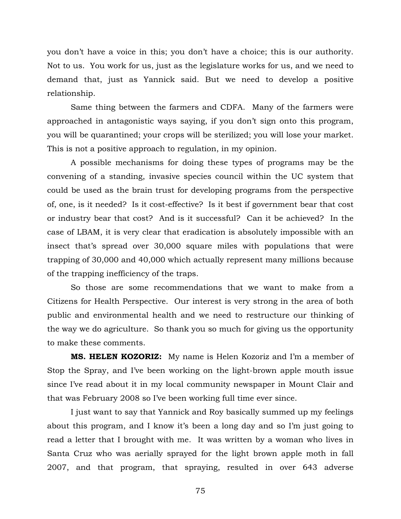you don't have a voice in this; you don't have a choice; this is our authority. Not to us. You work for us, just as the legislature works for us, and we need to demand that, just as Yannick said. But we need to develop a positive relationship.

 Same thing between the farmers and CDFA. Many of the farmers were approached in antagonistic ways saying, if you don't sign onto this program, you will be quarantined; your crops will be sterilized; you will lose your market. This is not a positive approach to regulation, in my opinion.

 A possible mechanisms for doing these types of programs may be the convening of a standing, invasive species council within the UC system that could be used as the brain trust for developing programs from the perspective of, one, is it needed? Is it cost-effective? Is it best if government bear that cost or industry bear that cost? And is it successful? Can it be achieved? In the case of LBAM, it is very clear that eradication is absolutely impossible with an insect that's spread over 30,000 square miles with populations that were trapping of 30,000 and 40,000 which actually represent many millions because of the trapping inefficiency of the traps.

 So those are some recommendations that we want to make from a Citizens for Health Perspective. Our interest is very strong in the area of both public and environmental health and we need to restructure our thinking of the way we do agriculture. So thank you so much for giving us the opportunity to make these comments.

**MS. HELEN KOZORIZ:** My name is Helen Kozoriz and I'm a member of Stop the Spray, and I've been working on the light-brown apple mouth issue since I've read about it in my local community newspaper in Mount Clair and that was February 2008 so I've been working full time ever since.

 I just want to say that Yannick and Roy basically summed up my feelings about this program, and I know it's been a long day and so I'm just going to read a letter that I brought with me. It was written by a woman who lives in Santa Cruz who was aerially sprayed for the light brown apple moth in fall 2007, and that program, that spraying, resulted in over 643 adverse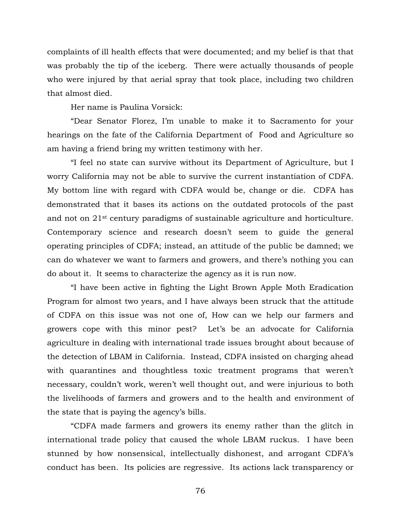complaints of ill health effects that were documented; and my belief is that that was probably the tip of the iceberg. There were actually thousands of people who were injured by that aerial spray that took place, including two children that almost died.

Her name is Paulina Vorsick:

 "Dear Senator Florez, I'm unable to make it to Sacramento for your hearings on the fate of the California Department of Food and Agriculture so am having a friend bring my written testimony with her.

 "I feel no state can survive without its Department of Agriculture, but I worry California may not be able to survive the current instantiation of CDFA. My bottom line with regard with CDFA would be, change or die. CDFA has demonstrated that it bases its actions on the outdated protocols of the past and not on 21st century paradigms of sustainable agriculture and horticulture. Contemporary science and research doesn't seem to guide the general operating principles of CDFA; instead, an attitude of the public be damned; we can do whatever we want to farmers and growers, and there's nothing you can do about it. It seems to characterize the agency as it is run now.

 "I have been active in fighting the Light Brown Apple Moth Eradication Program for almost two years, and I have always been struck that the attitude of CDFA on this issue was not one of, How can we help our farmers and growers cope with this minor pest? Let's be an advocate for California agriculture in dealing with international trade issues brought about because of the detection of LBAM in California. Instead, CDFA insisted on charging ahead with quarantines and thoughtless toxic treatment programs that weren't necessary, couldn't work, weren't well thought out, and were injurious to both the livelihoods of farmers and growers and to the health and environment of the state that is paying the agency's bills.

 "CDFA made farmers and growers its enemy rather than the glitch in international trade policy that caused the whole LBAM ruckus. I have been stunned by how nonsensical, intellectually dishonest, and arrogant CDFA's conduct has been. Its policies are regressive. Its actions lack transparency or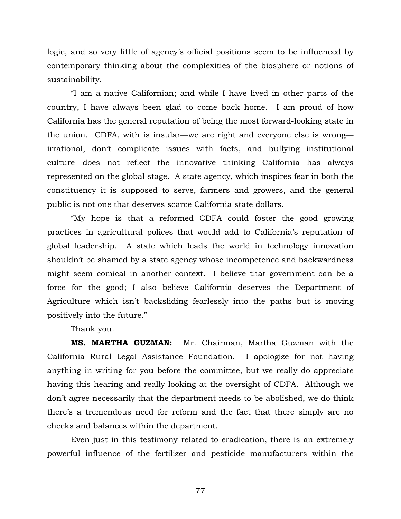logic, and so very little of agency's official positions seem to be influenced by contemporary thinking about the complexities of the biosphere or notions of sustainability.

 "I am a native Californian; and while I have lived in other parts of the country, I have always been glad to come back home. I am proud of how California has the general reputation of being the most forward-looking state in the union. CDFA, with is insular—we are right and everyone else is wrong irrational, don't complicate issues with facts, and bullying institutional culture—does not reflect the innovative thinking California has always represented on the global stage. A state agency, which inspires fear in both the constituency it is supposed to serve, farmers and growers, and the general public is not one that deserves scarce California state dollars.

 "My hope is that a reformed CDFA could foster the good growing practices in agricultural polices that would add to California's reputation of global leadership. A state which leads the world in technology innovation shouldn't be shamed by a state agency whose incompetence and backwardness might seem comical in another context. I believe that government can be a force for the good; I also believe California deserves the Department of Agriculture which isn't backsliding fearlessly into the paths but is moving positively into the future."

Thank you.

**MS. MARTHA GUZMAN:** Mr. Chairman, Martha Guzman with the California Rural Legal Assistance Foundation. I apologize for not having anything in writing for you before the committee, but we really do appreciate having this hearing and really looking at the oversight of CDFA. Although we don't agree necessarily that the department needs to be abolished, we do think there's a tremendous need for reform and the fact that there simply are no checks and balances within the department.

Even just in this testimony related to eradication, there is an extremely powerful influence of the fertilizer and pesticide manufacturers within the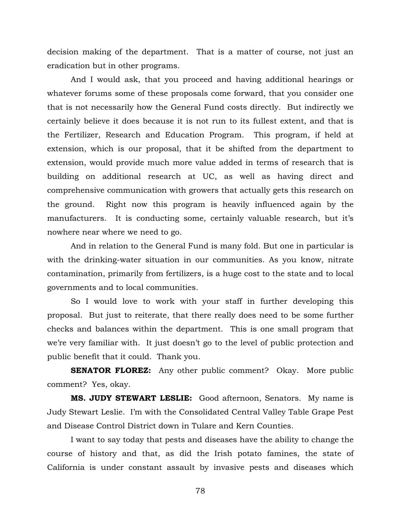decision making of the department. That is a matter of course, not just an eradication but in other programs.

And I would ask, that you proceed and having additional hearings or whatever forums some of these proposals come forward, that you consider one that is not necessarily how the General Fund costs directly. But indirectly we certainly believe it does because it is not run to its fullest extent, and that is the Fertilizer, Research and Education Program. This program, if held at extension, which is our proposal, that it be shifted from the department to extension, would provide much more value added in terms of research that is building on additional research at UC, as well as having direct and comprehensive communication with growers that actually gets this research on the ground. Right now this program is heavily influenced again by the manufacturers. It is conducting some, certainly valuable research, but it's nowhere near where we need to go.

And in relation to the General Fund is many fold. But one in particular is with the drinking-water situation in our communities. As you know, nitrate contamination, primarily from fertilizers, is a huge cost to the state and to local governments and to local communities.

So I would love to work with your staff in further developing this proposal. But just to reiterate, that there really does need to be some further checks and balances within the department. This is one small program that we're very familiar with. It just doesn't go to the level of public protection and public benefit that it could. Thank you.

**SENATOR FLOREZ:** Any other public comment? Okay. More public comment? Yes, okay.

**MS. JUDY STEWART LESLIE:** Good afternoon, Senators. My name is Judy Stewart Leslie. I'm with the Consolidated Central Valley Table Grape Pest and Disease Control District down in Tulare and Kern Counties.

I want to say today that pests and diseases have the ability to change the course of history and that, as did the Irish potato famines, the state of California is under constant assault by invasive pests and diseases which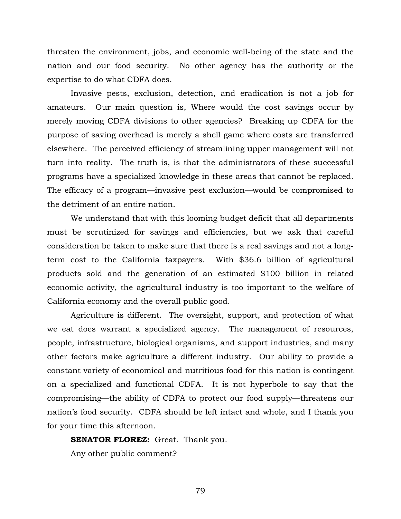threaten the environment, jobs, and economic well-being of the state and the nation and our food security. No other agency has the authority or the expertise to do what CDFA does.

Invasive pests, exclusion, detection, and eradication is not a job for amateurs. Our main question is, Where would the cost savings occur by merely moving CDFA divisions to other agencies? Breaking up CDFA for the purpose of saving overhead is merely a shell game where costs are transferred elsewhere. The perceived efficiency of streamlining upper management will not turn into reality. The truth is, is that the administrators of these successful programs have a specialized knowledge in these areas that cannot be replaced. The efficacy of a program—invasive pest exclusion—would be compromised to the detriment of an entire nation.

We understand that with this looming budget deficit that all departments must be scrutinized for savings and efficiencies, but we ask that careful consideration be taken to make sure that there is a real savings and not a longterm cost to the California taxpayers. With \$36.6 billion of agricultural products sold and the generation of an estimated \$100 billion in related economic activity, the agricultural industry is too important to the welfare of California economy and the overall public good.

Agriculture is different. The oversight, support, and protection of what we eat does warrant a specialized agency. The management of resources, people, infrastructure, biological organisms, and support industries, and many other factors make agriculture a different industry. Our ability to provide a constant variety of economical and nutritious food for this nation is contingent on a specialized and functional CDFA. It is not hyperbole to say that the compromising—the ability of CDFA to protect our food supply—threatens our nation's food security. CDFA should be left intact and whole, and I thank you for your time this afternoon.

**SENATOR FLOREZ:** Great. Thank you. Any other public comment?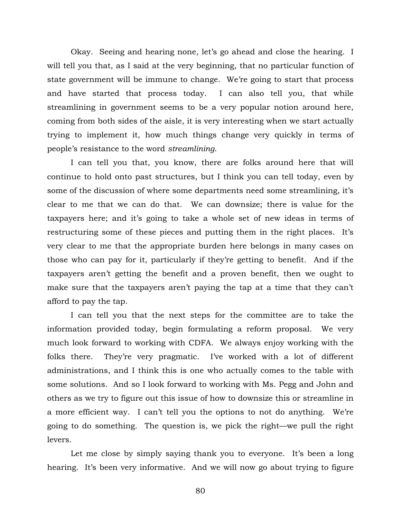Okay. Seeing and hearing none, let's go ahead and close the hearing. I will tell you that, as I said at the very beginning, that no particular function of state government will be immune to change. We're going to start that process and have started that process today. I can also tell you, that while streamlining in government seems to be a very popular notion around here, coming from both sides of the aisle, it is very interesting when we start actually trying to implement it, how much things change very quickly in terms of people's resistance to the word *streamlining*.

I can tell you that, you know, there are folks around here that will continue to hold onto past structures, but I think you can tell today, even by some of the discussion of where some departments need some streamlining, it's clear to me that we can do that. We can downsize; there is value for the taxpayers here; and it's going to take a whole set of new ideas in terms of restructuring some of these pieces and putting them in the right places. It's very clear to me that the appropriate burden here belongs in many cases on those who can pay for it, particularly if they're getting to benefit. And if the taxpayers aren't getting the benefit and a proven benefit, then we ought to make sure that the taxpayers aren't paying the tap at a time that they can't afford to pay the tap.

I can tell you that the next steps for the committee are to take the information provided today, begin formulating a reform proposal. We very much look forward to working with CDFA. We always enjoy working with the folks there. They're very pragmatic. I've worked with a lot of different administrations, and I think this is one who actually comes to the table with some solutions. And so I look forward to working with Ms. Pegg and John and others as we try to figure out this issue of how to downsize this or streamline in a more efficient way. I can't tell you the options to not do anything. We're going to do something. The question is, we pick the right—we pull the right levers.

Let me close by simply saying thank you to everyone. It's been a long hearing. It's been very informative. And we will now go about trying to figure